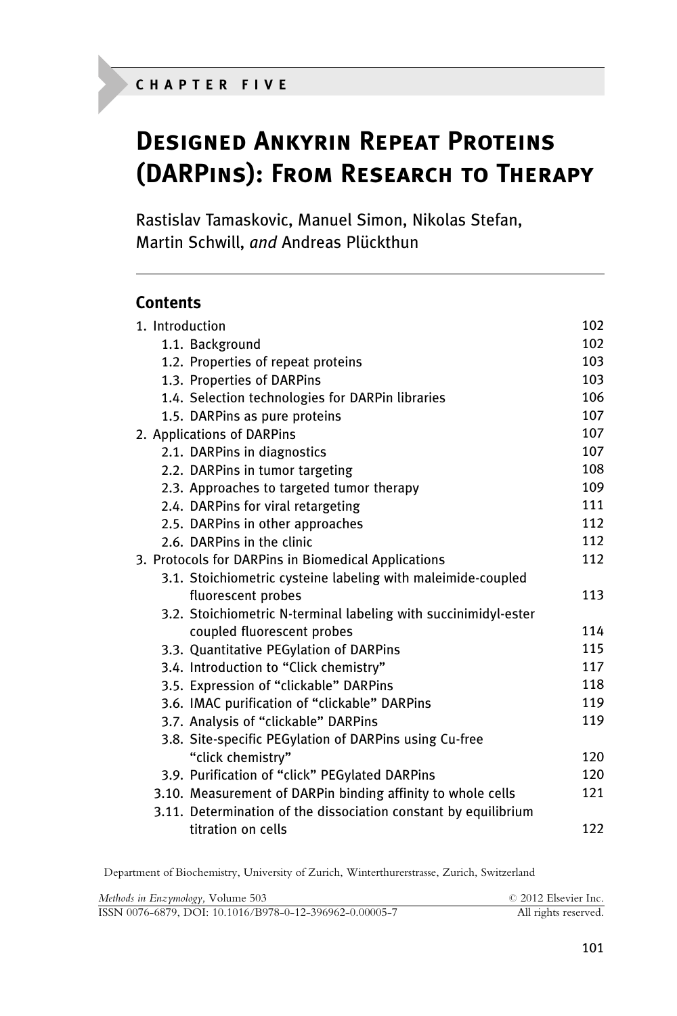# Designed Ankyrin Repeat Proteins (DARPins): From Research to Therapy

Rastislav Tamaskovic, Manuel Simon, Nikolas Stefan, Martin Schwill, and Andreas Plückthun

## **Contents**

| 1. Introduction                                                 | 102 |
|-----------------------------------------------------------------|-----|
| 1.1. Background                                                 | 102 |
| 1.2. Properties of repeat proteins                              | 103 |
| 1.3. Properties of DARPins                                      | 103 |
| 1.4. Selection technologies for DARPin libraries                | 106 |
| 1.5. DARPins as pure proteins                                   | 107 |
| 2. Applications of DARPins                                      | 107 |
| 2.1. DARPins in diagnostics                                     | 107 |
| 2.2. DARPins in tumor targeting                                 | 108 |
| 2.3. Approaches to targeted tumor therapy                       | 109 |
| 2.4. DARPins for viral retargeting                              | 111 |
| 2.5. DARPins in other approaches                                | 112 |
| 2.6. DARPins in the clinic                                      | 112 |
| 3. Protocols for DARPins in Biomedical Applications             | 112 |
| 3.1. Stoichiometric cysteine labeling with maleimide-coupled    |     |
| fluorescent probes                                              | 113 |
| 3.2. Stoichiometric N-terminal labeling with succinimidyl-ester |     |
| coupled fluorescent probes                                      | 114 |
| 3.3. Quantitative PEGylation of DARPins                         | 115 |
| 3.4. Introduction to "Click chemistry"                          | 117 |
| 3.5. Expression of "clickable" DARPins                          | 118 |
| 3.6. IMAC purification of "clickable" DARPins                   | 119 |
| 3.7. Analysis of "clickable" DARPins                            | 119 |
| 3.8. Site-specific PEGylation of DARPins using Cu-free          |     |
| "click chemistry"                                               | 120 |
| 3.9. Purification of "click" PEGylated DARPins                  | 120 |
| 3.10. Measurement of DARPin binding affinity to whole cells     | 121 |
| 3.11. Determination of the dissociation constant by equilibrium |     |
| titration on cells                                              | 122 |

Department of Biochemistry, University of Zurich, Winterthurerstrasse, Zurich, Switzerland

| Methods in Enzymology, Volume 503                       | © 2012 Elsevier Inc. |
|---------------------------------------------------------|----------------------|
| ISSN 0076-6879, DOI: 10.1016/B978-0-12-396962-0.00005-7 | All rights reserved. |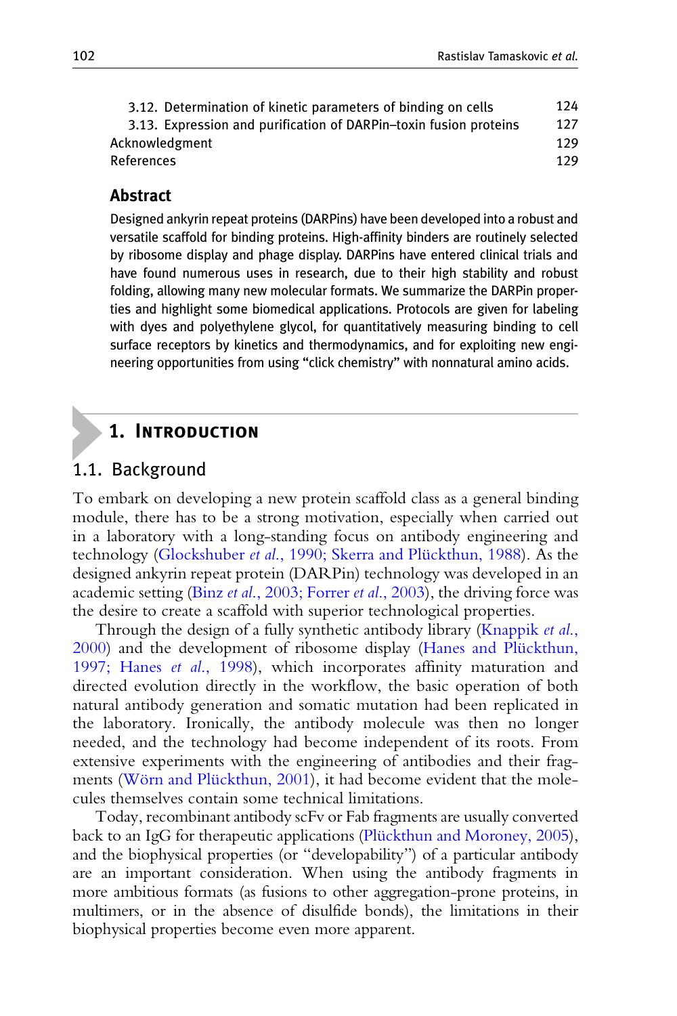| 3.12. Determination of kinetic parameters of binding on cells     | 124 |
|-------------------------------------------------------------------|-----|
| 3.13. Expression and purification of DARPin-toxin fusion proteins | 127 |
| Acknowledgment                                                    |     |
| References                                                        |     |

#### **Abstract**

Abstract Designed ankyrin repeat proteins (DARPins) have been developed into a robust and versatile scaffold for binding proteins. High-affinity binders are routinely selected by ribosome display and phage display. DARPins have entered clinical trials and have found numerous uses in research, due to their high stability and robust folding, allowing many new molecular formats. We summarize the DARPin properties and highlight some biomedical applications. Protocols are given for labeling with dyes and polyethylene glycol, for quantitatively measuring binding to cell surface receptors by kinetics and thermodynamics, and for exploiting new engineering opportunities from using "click chemistry" with nonnatural amino acids.

## 1. Introduction

#### 1.1. Background

To embark on developing a new protein scaffold class as a general binding module, there has to be a strong motivation, especially when carried out in a laboratory with a long-standing focus on antibody engineering and technology (Glockshuber et al., 1990; Skerra and Plückthun, 1988). As the designed ankyrin repeat protein (DARPin) technology was developed in an academic setting (Binz et al[., 2003; Forrer](#page-28-0) et al., 2003), the driving force was the desire to create a scaffold with superior technological properties.

Through the design of a fully synthetic antibody library ([Knappik](#page-30-0) *et al.*, [2000\)](#page-30-0) and the development of ribosome display (Hanes and Plückthun, [1997; Hanes](#page-29-0) et al., 1998), which incorporates affinity maturation and directed evolution directly in the workflow, the basic operation of both natural antibody generation and somatic mutation had been replicated in the laboratory. Ironically, the antibody molecule was then no longer needed, and the technology had become independent of its roots. From extensive experiments with the engineering of antibodies and their fragments (Wörn and Plückthun, 2001), it had become evident that the molecules themselves contain some technical limitations.

Today, recombinant antibody scFv or Fab fragments are usually converted back to an IgG for therapeutic applications (Plückthun and Moroney, 2005), and the biophysical properties (or "developability") of a particular antibody are an important consideration. When using the antibody fragments in more ambitious formats (as fusions to other aggregation-prone proteins, in multimers, or in the absence of disulfide bonds), the limitations in their biophysical properties become even more apparent.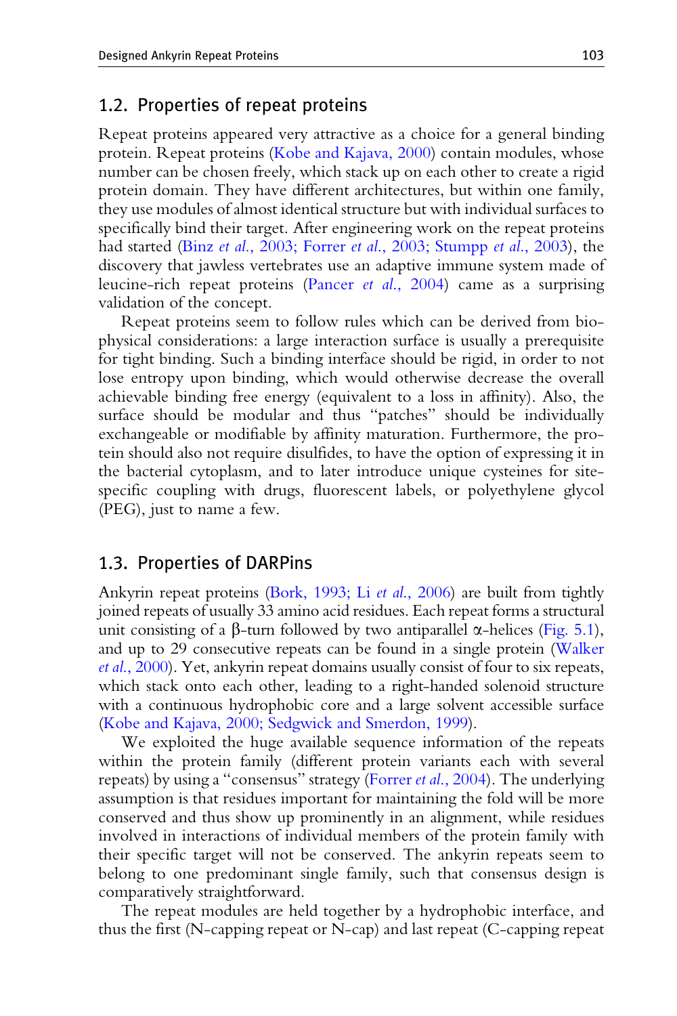#### 1.2. Properties of repeat proteins

Repeat proteins appeared very attractive as a choice for a general binding protein. Repeat proteins ([Kobe and Kajava, 2000](#page-30-0)) contain modules, whose number can be chosen freely, which stack up on each other to create a rigid protein domain. They have different architectures, but within one family, they use modules of almost identical structure but with individual surfaces to specifically bind their target. After engineering work on the repeat proteins had started (Binz *et al.*, 2003; Forrer *et al.*, 2003; Stumpp *et al.*, 2003), the discovery that jawless vertebrates use an adaptive immune system made of leucine-rich repeat proteins (Pancer et al[., 2004](#page-31-0)) came as a surprising validation of the concept.

Repeat proteins seem to follow rules which can be derived from biophysical considerations: a large interaction surface is usually a prerequisite for tight binding. Such a binding interface should be rigid, in order to not lose entropy upon binding, which would otherwise decrease the overall achievable binding free energy (equivalent to a loss in affinity). Also, the surface should be modular and thus "patches" should be individually exchangeable or modifiable by affinity maturation. Furthermore, the protein should also not require disulfides, to have the option of expressing it in the bacterial cytoplasm, and to later introduce unique cysteines for sitespecific coupling with drugs, fluorescent labels, or polyethylene glycol (PEG), just to name a few.

#### 1.3. Properties of DARPins

Ankyrin repeat proteins [\(Bork, 1993; Li](#page-29-0) et al., 2006) are built from tightly joined repeats of usually 33 amino acid residues. Each repeat forms a structural unit consisting of a  $\beta$ -turn followed by two antiparallel  $\alpha$ -helices ([Fig. 5.1\)](#page-3-0), and up to 29 consecutive repeats can be found in a single protein [\(Walker](#page-32-0) et al[., 2000](#page-32-0)). Yet, ankyrin repeat domains usually consist of four to six repeats, which stack onto each other, leading to a right-handed solenoid structure with a continuous hydrophobic core and a large solvent accessible surface [\(Kobe and Kajava, 2000; Sedgwick and Smerdon, 1999\)](#page-30-0).

We exploited the huge available sequence information of the repeats within the protein family (different protein variants each with several repeats) by using a "consensus" strategy (Forrer *et al.*, 2004). The underlying assumption is that residues important for maintaining the fold will be more conserved and thus show up prominently in an alignment, while residues involved in interactions of individual members of the protein family with their specific target will not be conserved. The ankyrin repeats seem to belong to one predominant single family, such that consensus design is comparatively straightforward.

The repeat modules are held together by a hydrophobic interface, and thus the first (N-capping repeat or N-cap) and last repeat (C-capping repeat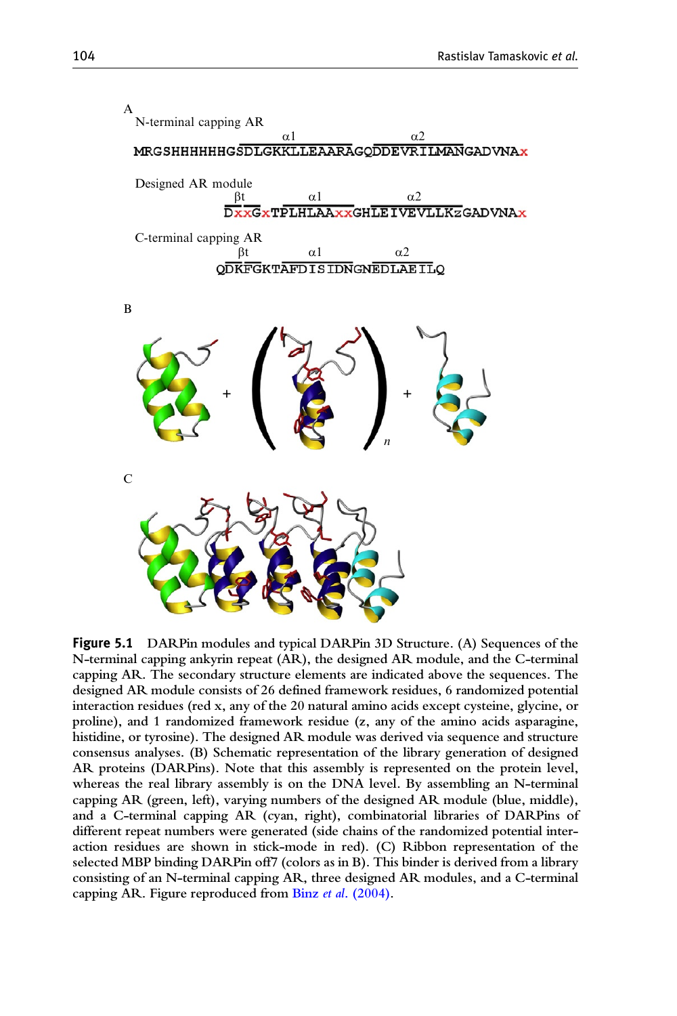<span id="page-3-0"></span>

Figure <sup>5</sup>.<sup>1</sup> DARPin modules and typical DARPin 3D Structure. (A) Sequences of the N-terminal capping ankyrin repeat (AR), the designed AR module, and the C-terminal capping AR. The secondary structure elements are indicated above the sequences. The designed AR module consists of 26 defined framework residues, 6 randomized potential interaction residues (red x, any of the 20 natural amino acids except cysteine, glycine, or proline), and 1 randomized framework residue (z, any of the amino acids asparagine, histidine, or tyrosine). The designed AR module was derived via sequence and structure consensus analyses. (B) Schematic representation of the library generation of designed AR proteins (DARPins). Note that this assembly is represented on the protein level, whereas the real library assembly is on the DNA level. By assembling an N-terminal capping AR (green, left), varying numbers of the designed AR module (blue, middle), and a C-terminal capping AR (cyan, right), combinatorial libraries of DARPins of different repeat numbers were generated (side chains of the randomized potential interaction residues are shown in stick-mode in red). (C) Ribbon representation of the selected MBP binding DARPin off7 (colors as in B). This binder is derived from a library consisting of an N-terminal capping AR, three designed AR modules, and a C-terminal capping AR. Figure reproduced from Binz et al[. \(2004\).](#page-29-0)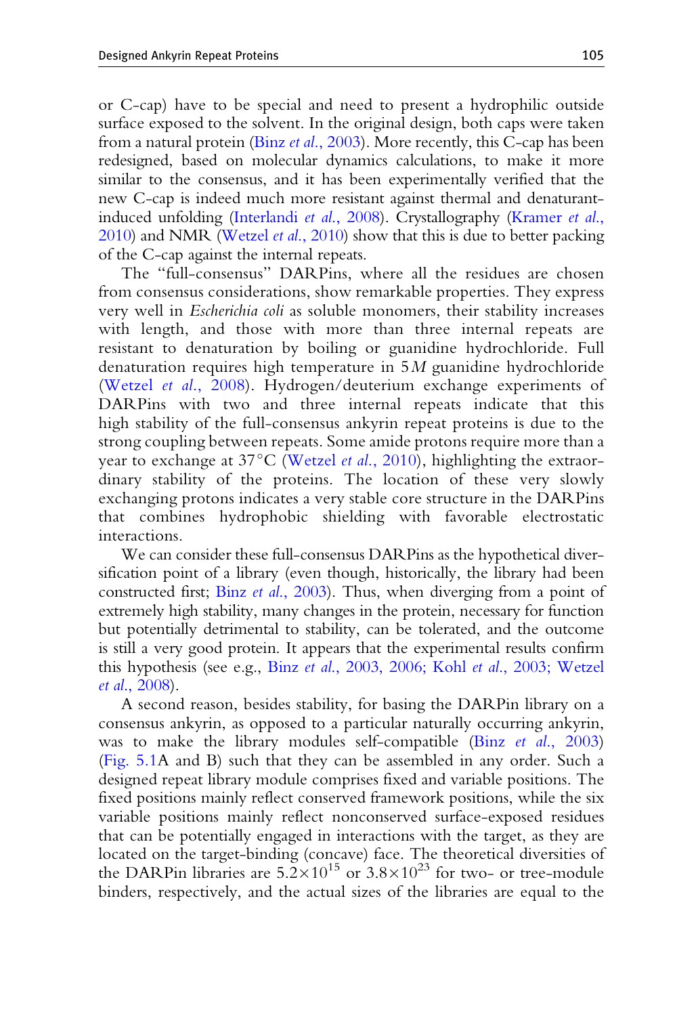or C-cap) have to be special and need to present a hydrophilic outside surface exposed to the solvent. In the original design, both caps were taken from a natural protein (Binz et al[., 2003](#page-28-0)). More recently, this C-cap has been redesigned, based on molecular dynamics calculations, to make it more similar to the consensus, and it has been experimentally verified that the new C-cap is indeed much more resistant against thermal and denaturantinduced unfolding [\(Interlandi](#page-30-0) et al., 2008). Crystallography [\(Kramer](#page-30-0) et al., [2010\)](#page-30-0) and NMR [\(Wetzel](#page-33-0) *et al.*, 2010) show that this is due to better packing of the C-cap against the internal repeats.

The "full-consensus" DARPins, where all the residues are chosen from consensus considerations, show remarkable properties. They express very well in *Escherichia coli* as soluble monomers, their stability increases with length, and those with more than three internal repeats are resistant to denaturation by boiling or guanidine hydrochloride. Full denaturation requires high temperature in  $5M$  guanidine hydrochloride (Wetzel et al[., 2008](#page-32-0)). Hydrogen/deuterium exchange experiments of DARPins with two and three internal repeats indicate that this high stability of the full-consensus ankyrin repeat proteins is due to the strong coupling between repeats. Some amide protons require more than a year to exchange at  $37^{\circ}$ C ([Wetzel](#page-33-0) *et al.*, 2010), highlighting the extraordinary stability of the proteins. The location of these very slowly exchanging protons indicates a very stable core structure in the DARPins that combines hydrophobic shielding with favorable electrostatic interactions.

We can consider these full-consensus DARPins as the hypothetical diversification point of a library (even though, historically, the library had been constructed first; Binz et al[., 2003](#page-28-0)). Thus, when diverging from a point of extremely high stability, many changes in the protein, necessary for function but potentially detrimental to stability, can be tolerated, and the outcome is still a very good protein. It appears that the experimental results confirm this hypothesis (see e.g., Binz et al[., 2003, 2006; Kohl](#page-28-0) et al., 2003; Wetzel et al[., 2008\)](#page-28-0).

A second reason, besides stability, for basing the DARPin library on a consensus ankyrin, as opposed to a particular naturally occurring ankyrin, was to make the library modules self-compatible (Binz *et al.*, 2003) [\(Fig. 5.1](#page-3-0)A and B) such that they can be assembled in any order. Such a designed repeat library module comprises fixed and variable positions. The fixed positions mainly reflect conserved framework positions, while the six variable positions mainly reflect nonconserved surface-exposed residues that can be potentially engaged in interactions with the target, as they are located on the target-binding (concave) face. The theoretical diversities of the DARPin libraries are  $5.2 \times 10^{15}$  or  $3.8 \times 10^{23}$  for two- or tree-module binders, respectively, and the actual sizes of the libraries are equal to the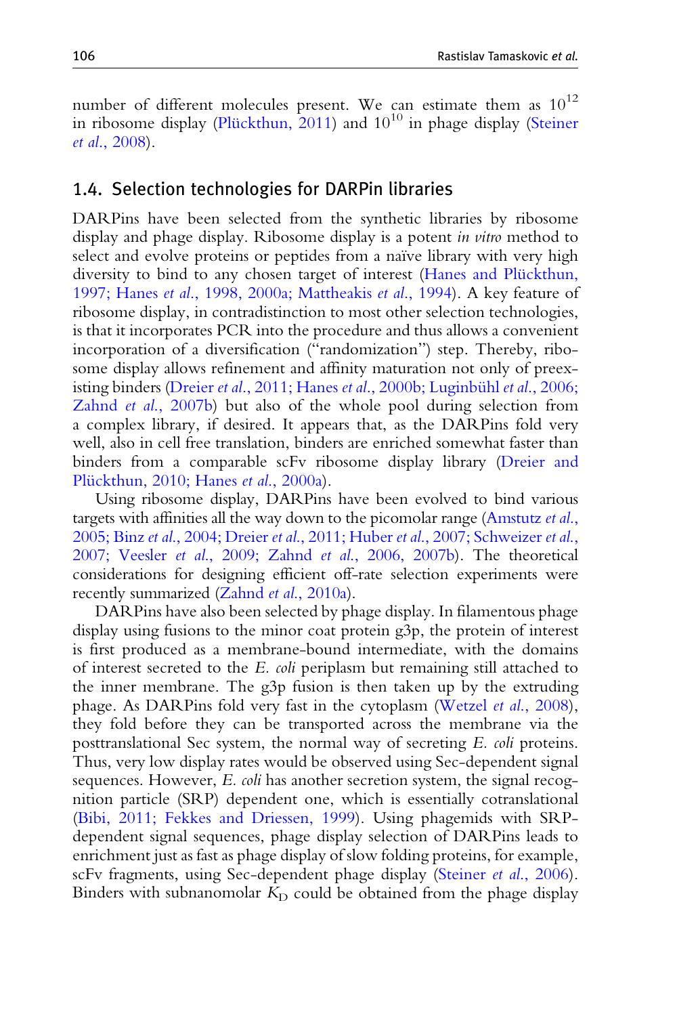number of different molecules present. We can estimate them as  $10^{12}$ in ribosome display (Plückthun,  $2011$ ) and  $10^{10}$  in phage display ([Steiner](#page-32-0) et al[., 2008](#page-32-0)).

#### 1.4. Selection technologies for DARPin libraries

DARPins have been selected from the synthetic libraries by ribosome display and phage display. Ribosome display is a potent *in vitro* method to select and evolve proteins or peptides from a naïve library with very high diversity to bind to any chosen target of interest (Hanes and Plückthun, 1997; Hanes et al[., 1998, 2000a; Mattheakis](#page-29-0) et al., 1994). A key feature of ribosome display, in contradistinction to most other selection technologies, is that it incorporates PCR into the procedure and thus allows a convenient incorporation of a diversification ("randomization") step. Thereby, ribosome display allows refinement and affinity maturation not only of preexisting binders (Dreier *et al.*, 2011; Hanes *et al.*, 2000b; Luginbühl *et al.*, 2006; Zahnd et al[., 2007b\)](#page-29-0) but also of the whole pool during selection from a complex library, if desired. It appears that, as the DARPins fold very well, also in cell free translation, binders are enriched somewhat faster than binders from a comparable scFv ribosome display library ([Dreier and](#page-29-0) Plückthun, 2010; Hanes et al., 2000a).

Using ribosome display, DARPins have been evolved to bind various targets with affinities all the way down to the picomolar range [\(Amstutz](#page-28-0) et al., 2005; Binz et al., 2004; Dreier et al., 2011; Huber et al[., 2007; Schweizer](#page-28-0) et al., 2007; Veesler et al[., 2009; Zahnd](#page-28-0) et al., 2006, 2007b). The theoretical considerations for designing efficient off-rate selection experiments were recently summarized (Zahnd et al[., 2010a](#page-33-0)).

DARPins have also been selected by phage display. In filamentous phage display using fusions to the minor coat protein g3p, the protein of interest is first produced as a membrane-bound intermediate, with the domains of interest secreted to the E. coli periplasm but remaining still attached to the inner membrane. The g3p fusion is then taken up by the extruding phage. As DARPins fold very fast in the cytoplasm (Wetzel et al[., 2008\)](#page-32-0), they fold before they can be transported across the membrane via the posttranslational Sec system, the normal way of secreting E. coli proteins. Thus, very low display rates would be observed using Sec-dependent signal sequences. However, E. coli has another secretion system, the signal recognition particle (SRP) dependent one, which is essentially cotranslational ([Bibi, 2011; Fekkes and Driessen, 1999\)](#page-28-0). Using phagemids with SRPdependent signal sequences, phage display selection of DARPins leads to enrichment just as fast as phage display of slow folding proteins, for example, scFv fragments, using Sec-dependent phage display (Steiner et al[., 2006\)](#page-32-0). Binders with subnanomolar  $K<sub>D</sub>$  could be obtained from the phage display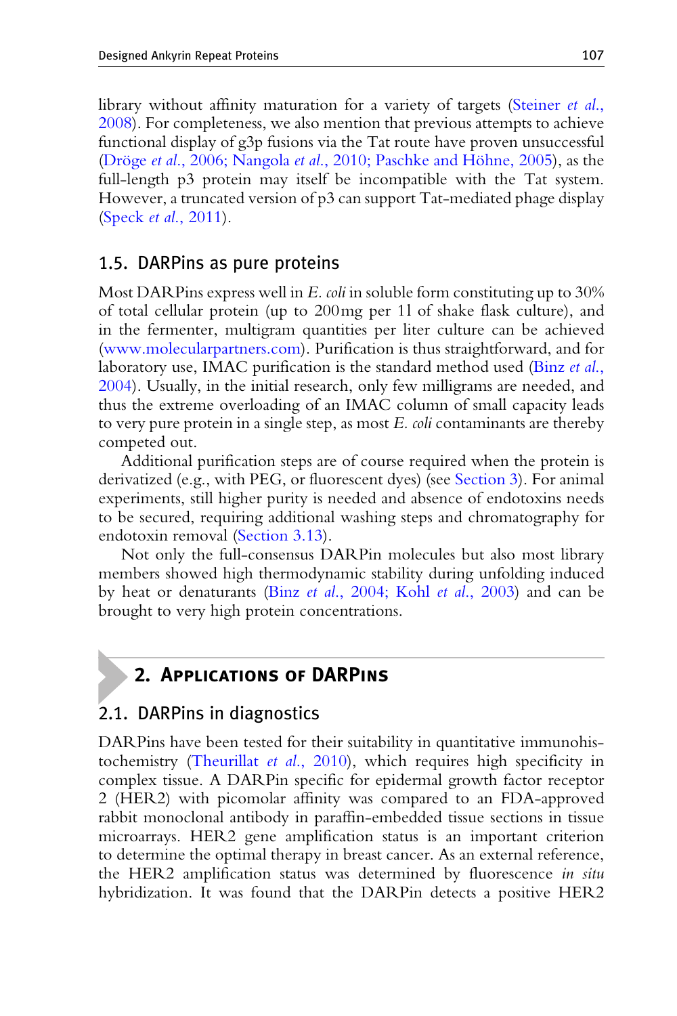library without affinity maturation for a variety of targets [\(Steiner](#page-32-0) et al., [2008](#page-32-0)). For completeness, we also mention that previous attempts to achieve functional display of g3p fusions via the Tat route have proven unsuccessful (Dröge et al., 2006; Nangola et al., 2010; Paschke and Höhne, 2005), as the full-length p3 protein may itself be incompatible with the Tat system. However, a truncated version of p3 can support Tat-mediated phage display (Speck et al[., 2011\)](#page-31-0).

#### 1.5. DARPins as pure proteins

Most DARPins express well in  $E$ . *coli* in soluble form constituting up to 30% of total cellular protein (up to 200mg per 1l of shake flask culture), and in the fermenter, multigram quantities per liter culture can be achieved [\(www.molecularpartners.com\)](http://www.molecularpartners.com). Purification is thus straightforward, and for laboratory use, IMAC purification is the standard method used [\(Binz](#page-29-0) *et al.*, [2004](#page-29-0)). Usually, in the initial research, only few milligrams are needed, and thus the extreme overloading of an IMAC column of small capacity leads to very pure protein in a single step, as most E. *coli* contaminants are thereby competed out.

Additional purification steps are of course required when the protein is derivatized (e.g., with PEG, or fluorescent dyes) (see [Section 3\)](#page-11-0). For animal experiments, still higher purity is needed and absence of endotoxins needs to be secured, requiring additional washing steps and chromatography for endotoxin removal ([Section 3.13\)](#page-26-0).

Not only the full-consensus DARPin molecules but also most library members showed high thermodynamic stability during unfolding induced by heat or denaturants (Binz et al[., 2004; Kohl](#page-29-0) et al., 2003) and can be brought to very high protein concentrations.

# 2. Applications of DARPins

## 2.1. DARPins in diagnostics

DARPins have been tested for their suitability in quantitative immunohistochemistry [\(Theurillat](#page-32-0) et al., 2010), which requires high specificity in complex tissue. A DARPin specific for epidermal growth factor receptor 2 (HER2) with picomolar affinity was compared to an FDA-approved rabbit monoclonal antibody in paraffin-embedded tissue sections in tissue microarrays. HER2 gene amplification status is an important criterion to determine the optimal therapy in breast cancer. As an external reference, the HER2 amplification status was determined by fluorescence in situ hybridization. It was found that the DARPin detects a positive HER2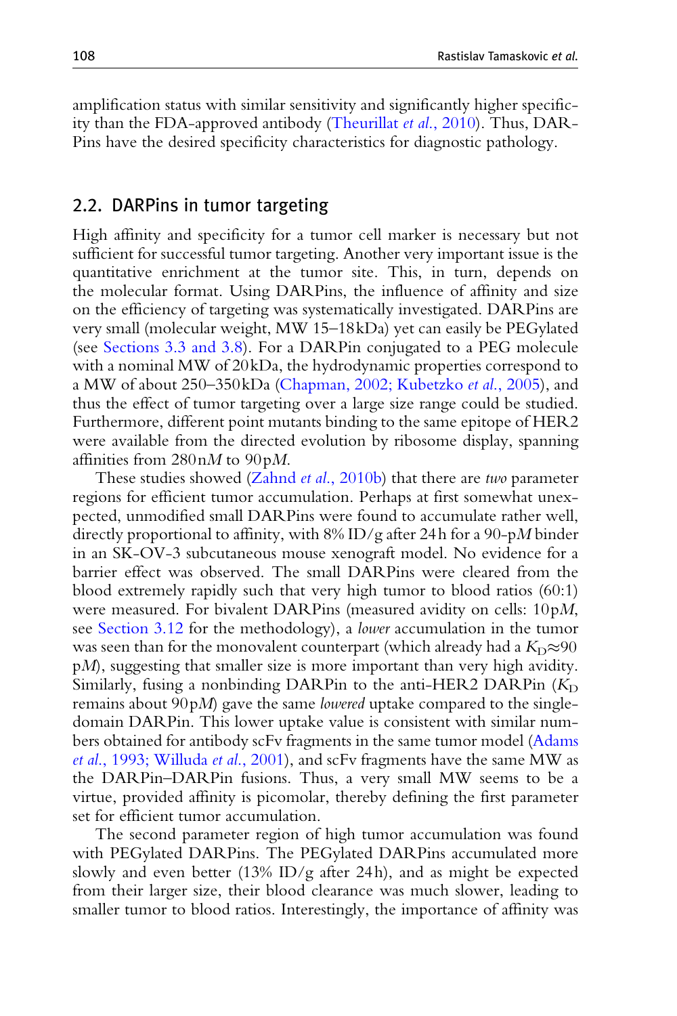amplification status with similar sensitivity and significantly higher specificity than the FDA-approved antibody [\(Theurillat](#page-32-0) et al., 2010). Thus, DAR-Pins have the desired specificity characteristics for diagnostic pathology.

#### 2.2. DARPins in tumor targeting

High affinity and specificity for a tumor cell marker is necessary but not sufficient for successful tumor targeting. Another very important issue is the quantitative enrichment at the tumor site. This, in turn, depends on the molecular format. Using DARPins, the influence of affinity and size on the efficiency of targeting was systematically investigated. DARPins are very small (molecular weight, MW 15–18kDa) yet can easily be PEGylated (see [Sections 3.3 and 3.8\)](#page-14-0). For a DARPin conjugated to a PEG molecule with a nominal MW of 20kDa, the hydrodynamic properties correspond to a MW of about 250–350kDa [\(Chapman, 2002; Kubetzko](#page-29-0) et al., 2005), and thus the effect of tumor targeting over a large size range could be studied. Furthermore, different point mutants binding to the same epitope of HER2 were available from the directed evolution by ribosome display, spanning affinities from  $280nM$  to  $90pM$ .

These studies showed (Zahnd *et al.*, 2010b) that there are *two* parameter regions for efficient tumor accumulation. Perhaps at first somewhat unexpected, unmodified small DARPins were found to accumulate rather well, directly proportional to affinity, with  $8\%$  ID/g after 24h for a 90-pM binder in an SK-OV-3 subcutaneous mouse xenograft model. No evidence for a barrier effect was observed. The small DARPins were cleared from the blood extremely rapidly such that very high tumor to blood ratios (60:1) were measured. For bivalent DARPins (measured avidity on cells: 10pM, see [Section 3.12](#page-23-0) for the methodology), a lower accumulation in the tumor was seen than for the monovalent counterpart (which already had a  $K<sub>D</sub>\approx 90$ pM), suggesting that smaller size is more important than very high avidity. Similarly, fusing a nonbinding DARPin to the anti-HER2 DARPin  $(K<sub>D</sub>)$ remains about 90pM) gave the same lowered uptake compared to the singledomain DARPin. This lower uptake value is consistent with similar numbers obtained for antibody scFv fragments in the same tumor model ([Adams](#page-28-0) et al[., 1993; Willuda](#page-28-0) et al., 2001), and scFv fragments have the same MW as the DARPin–DARPin fusions. Thus, a very small MW seems to be a virtue, provided affinity is picomolar, thereby defining the first parameter set for efficient tumor accumulation.

The second parameter region of high tumor accumulation was found with PEGylated DARPins. The PEGylated DARPins accumulated more slowly and even better (13% ID/g after 24h), and as might be expected from their larger size, their blood clearance was much slower, leading to smaller tumor to blood ratios. Interestingly, the importance of affinity was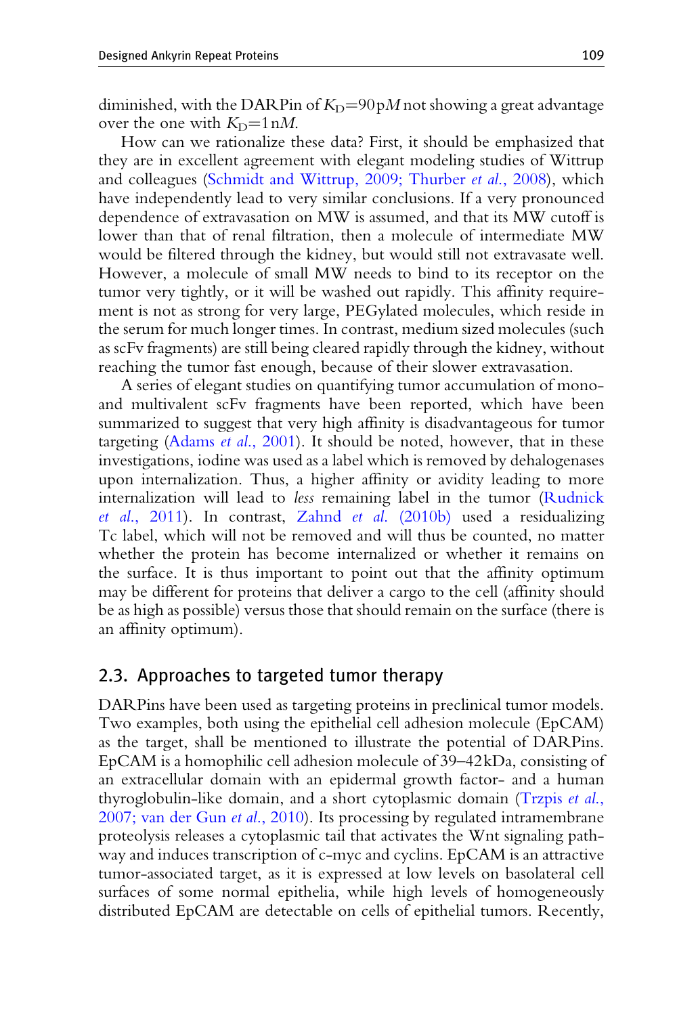<span id="page-8-0"></span>diminished, with the DARP in of  $K_D = 90pM$  not showing a great advantage over the one with  $K_{D} = 1 \text{ nM}$ .

How can we rationalize these data? First, it should be emphasized that they are in excellent agreement with elegant modeling studies of Wittrup and colleagues ([Schmidt and Wittrup, 2009; Thurber](#page-31-0) *et al.*, 2008), which have independently lead to very similar conclusions. If a very pronounced dependence of extravasation on MW is assumed, and that its MW cutoff is lower than that of renal filtration, then a molecule of intermediate MW would be filtered through the kidney, but would still not extravasate well. However, a molecule of small MW needs to bind to its receptor on the tumor very tightly, or it will be washed out rapidly. This affinity requirement is not as strong for very large, PEGylated molecules, which reside in the serum for much longer times. In contrast, medium sized molecules (such as scFv fragments) are still being cleared rapidly through the kidney, without reaching the tumor fast enough, because of their slower extravasation.

A series of elegant studies on quantifying tumor accumulation of monoand multivalent scFv fragments have been reported, which have been summarized to suggest that very high affinity is disadvantageous for tumor targeting (Adams et al[., 2001\)](#page-28-0). It should be noted, however, that in these investigations, iodine was used as a label which is removed by dehalogenases upon internalization. Thus, a higher affinity or avidity leading to more internalization will lead to less remaining label in the tumor ([Rudnick](#page-31-0) et al[., 2011\)](#page-31-0). In contrast, Zahnd et al[. \(2010b\)](#page-33-0) used a residualizing Tc label, which will not be removed and will thus be counted, no matter whether the protein has become internalized or whether it remains on the surface. It is thus important to point out that the affinity optimum may be different for proteins that deliver a cargo to the cell (affinity should be as high as possible) versus those that should remain on the surface (there is an affinity optimum).

#### 2.3. Approaches to targeted tumor therapy

DARPins have been used as targeting proteins in preclinical tumor models. Two examples, both using the epithelial cell adhesion molecule (EpCAM) as the target, shall be mentioned to illustrate the potential of DARPins. EpCAM is a homophilic cell adhesion molecule of 39–42kDa, consisting of an extracellular domain with an epidermal growth factor- and a human thyroglobulin-like domain, and a short cytoplasmic domain ([Trzpis](#page-32-0) et al., [2007; van der Gun](#page-32-0) et al., 2010). Its processing by regulated intramembrane proteolysis releases a cytoplasmic tail that activates the Wnt signaling pathway and induces transcription of c-myc and cyclins. EpCAM is an attractive tumor-associated target, as it is expressed at low levels on basolateral cell surfaces of some normal epithelia, while high levels of homogeneously distributed EpCAM are detectable on cells of epithelial tumors. Recently,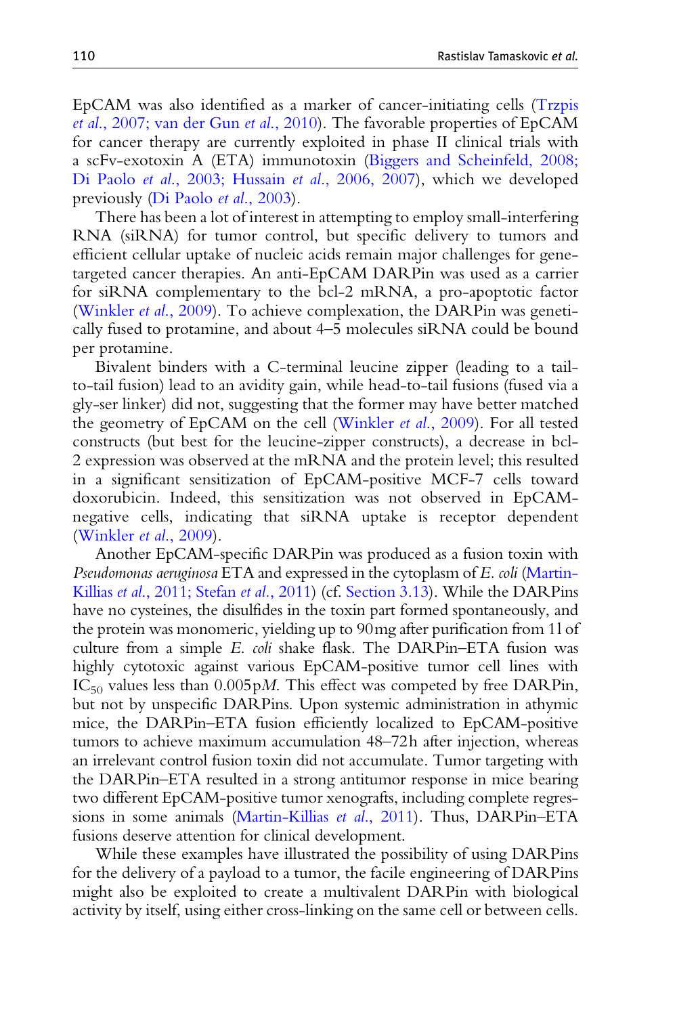EpCAM was also identified as a marker of cancer-initiating cells ([Trzpis](#page-32-0) et al[., 2007; van der Gun](#page-32-0) et al., 2010). The favorable properties of EpCAM for cancer therapy are currently exploited in phase II clinical trials with a scFv-exotoxin A (ETA) immunotoxin [\(Biggers and Scheinfeld, 2008;](#page-28-0) Di Paolo et al[., 2003; Hussain](#page-28-0) et al., 2006, 2007), which we developed previously [\(Di Paolo](#page-29-0) et al., 2003).

There has been a lot of interest in attempting to employ small-interfering RNA (siRNA) for tumor control, but specific delivery to tumors and efficient cellular uptake of nucleic acids remain major challenges for genetargeted cancer therapies. An anti-EpCAM DARPin was used as a carrier for siRNA complementary to the bcl-2 mRNA, a pro-apoptotic factor ([Winkler](#page-33-0) et al., 2009). To achieve complexation, the DARPin was genetically fused to protamine, and about 4–5 molecules siRNA could be bound per protamine.

Bivalent binders with a C-terminal leucine zipper (leading to a tailto-tail fusion) lead to an avidity gain, while head-to-tail fusions (fused via a gly-ser linker) did not, suggesting that the former may have better matched the geometry of EpCAM on the cell [\(Winkler](#page-33-0) et al., 2009). For all tested constructs (but best for the leucine-zipper constructs), a decrease in bcl-2 expression was observed at the mRNA and the protein level; this resulted in a significant sensitization of EpCAM-positive MCF-7 cells toward doxorubicin. Indeed, this sensitization was not observed in EpCAMnegative cells, indicating that siRNA uptake is receptor dependent ([Winkler](#page-33-0) et al., 2009).

Another EpCAM-specific DARPin was produced as a fusion toxin with Pseudomonas aeruginosa ETA and expressed in the cytoplasm of E. coli ([Martin-](#page-30-0)Killias et al[., 2011; Stefan](#page-30-0) et al., 2011) (cf. [Section 3.13](#page-26-0)). While the DARPins have no cysteines, the disulfides in the toxin part formed spontaneously, and the protein was monomeric, yielding up to 90mg after purification from 1l of culture from a simple E. coli shake flask. The DARPin–ETA fusion was highly cytotoxic against various EpCAM-positive tumor cell lines with  $IC_{50}$  values less than 0.005 pM. This effect was competed by free DARPin, but not by unspecific DARPins. Upon systemic administration in athymic mice, the DARPin–ETA fusion efficiently localized to EpCAM-positive tumors to achieve maximum accumulation 48–72h after injection, whereas an irrelevant control fusion toxin did not accumulate. Tumor targeting with the DARPin–ETA resulted in a strong antitumor response in mice bearing two different EpCAM-positive tumor xenografts, including complete regressions in some animals ([Martin-Killias](#page-30-0) et al., 2011). Thus, DARPin–ETA fusions deserve attention for clinical development.

While these examples have illustrated the possibility of using DARPins for the delivery of a payload to a tumor, the facile engineering of DARPins might also be exploited to create a multivalent DARPin with biological activity by itself, using either cross-linking on the same cell or between cells.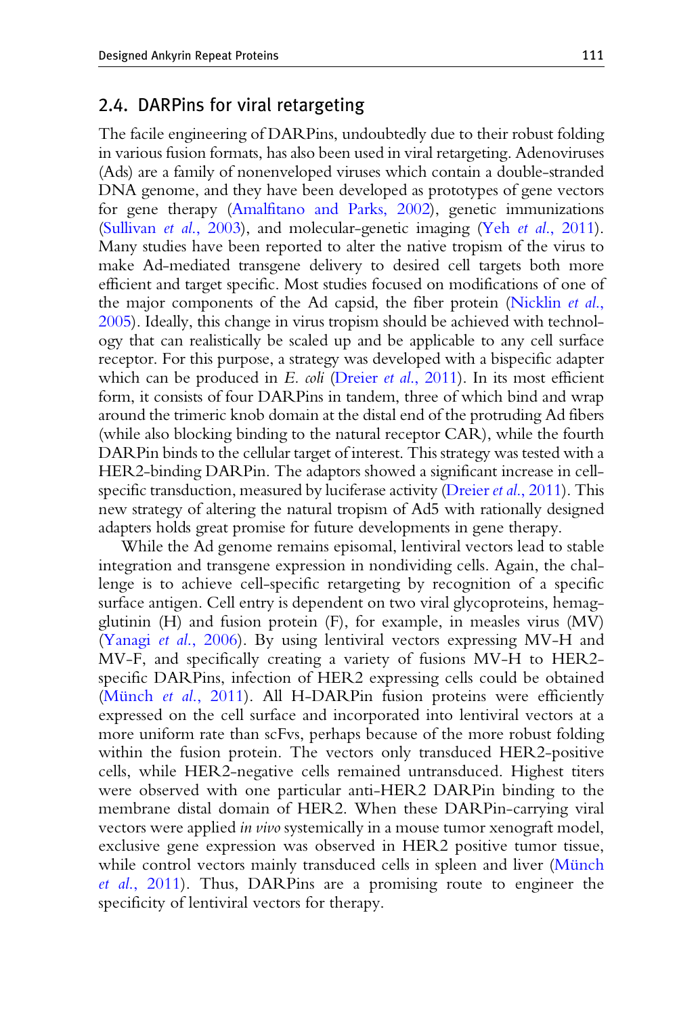## 2.4. DARPins for viral retargeting

The facile engineering of DARPins, undoubtedly due to their robust folding in various fusion formats, has also been used in viral retargeting. Adenoviruses (Ads) are a family of nonenveloped viruses which contain a double-stranded DNA genome, and they have been developed as prototypes of gene vectors for gene therapy ([Amalfitano and Parks, 2002](#page-28-0)), genetic immunizations [\(Sullivan](#page-32-0) *et al.*, 2003), and molecular-genetic imaging (Yeh *et al.*, 2011). Many studies have been reported to alter the native tropism of the virus to make Ad-mediated transgene delivery to desired cell targets both more efficient and target specific. Most studies focused on modifications of one of the major components of the Ad capsid, the fiber protein ([Nicklin](#page-31-0) et al., [2005\)](#page-31-0). Ideally, this change in virus tropism should be achieved with technology that can realistically be scaled up and be applicable to any cell surface receptor. For this purpose, a strategy was developed with a bispecific adapter which can be produced in E. coli (Dreier et al[., 2011\)](#page-29-0). In its most efficient form, it consists of four DARPins in tandem, three of which bind and wrap around the trimeric knob domain at the distal end of the protruding Ad fibers (while also blocking binding to the natural receptor CAR), while the fourth DARPin binds to the cellular target of interest. This strategy was tested with a HER2-binding DARPin. The adaptors showed a significant increase in cell-specific transduction, measured by luciferase activity (Dreier et al[., 2011](#page-29-0)). This new strategy of altering the natural tropism of Ad5 with rationally designed adapters holds great promise for future developments in gene therapy.

While the Ad genome remains episomal, lentiviral vectors lead to stable integration and transgene expression in nondividing cells. Again, the challenge is to achieve cell-specific retargeting by recognition of a specific surface antigen. Cell entry is dependent on two viral glycoproteins, hemagglutinin (H) and fusion protein (F), for example, in measles virus (MV) (Yanagi et al[., 2006\)](#page-33-0). By using lentiviral vectors expressing MV-H and MV-F, and specifically creating a variety of fusions MV-H to HER2 specific DARPins, infection of HER2 expressing cells could be obtained (Münch et al[., 2011\)](#page-31-0). All H-DARPin fusion proteins were efficiently expressed on the cell surface and incorporated into lentiviral vectors at a more uniform rate than scFvs, perhaps because of the more robust folding within the fusion protein. The vectors only transduced HER2-positive cells, while HER2-negative cells remained untransduced. Highest titers were observed with one particular anti-HER2 DARPin binding to the membrane distal domain of HER2. When these DARPin-carrying viral vectors were applied in vivo systemically in a mouse tumor xenograft model, exclusive gene expression was observed in HER2 positive tumor tissue, while control vectors mainly transduced cells in spleen and liver (Münch et al[., 2011](#page-31-0)). Thus, DARPins are a promising route to engineer the specificity of lentiviral vectors for therapy.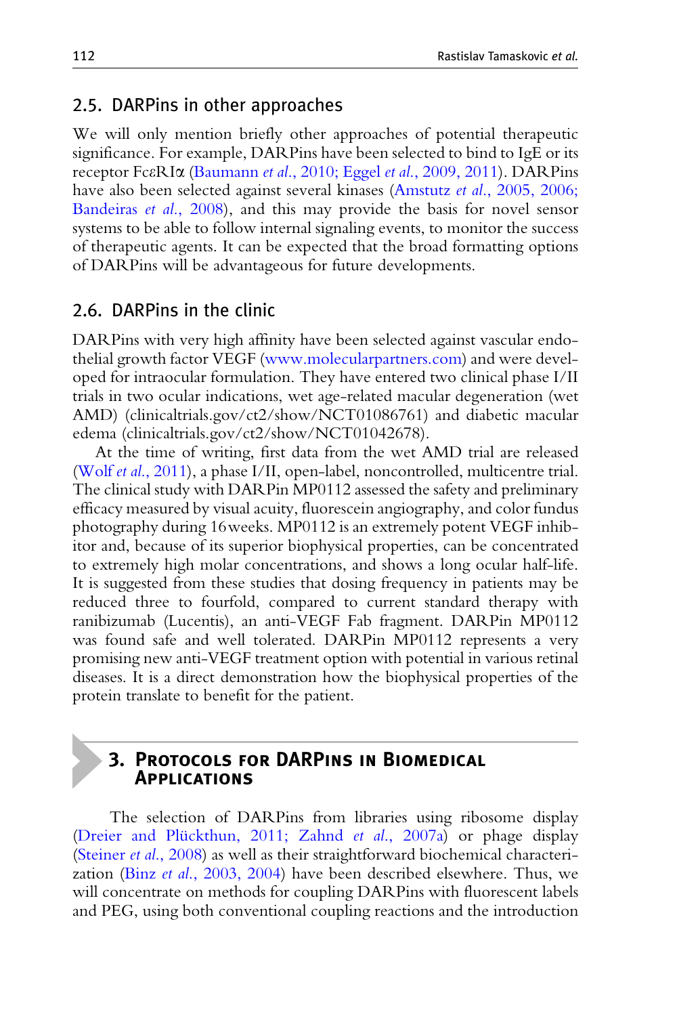### <span id="page-11-0"></span>2.5. DARPins in other approaches

We will only mention briefly other approaches of potential therapeutic significance. For example, DARPins have been selected to bind to IgE or its receptor FceRIa (Baumann et al[., 2010; Eggel](#page-28-0) et al., 2009, 2011). DARPins have also been selected against several kinases (Amstutz et al[., 2005, 2006;](#page-28-0) [Bandeiras](#page-28-0) et al., 2008), and this may provide the basis for novel sensor systems to be able to follow internal signaling events, to monitor the success of therapeutic agents. It can be expected that the broad formatting options of DARPins will be advantageous for future developments.

## 2.6. DARPins in the clinic

DARPins with very high affinity have been selected against vascular endothelial growth factor VEGF ([www.molecularpartners.com\)](http://www.molecularpartners.com) and were developed for intraocular formulation. They have entered two clinical phase I/II trials in two ocular indications, wet age-related macular degeneration (wet AMD) (clinicaltrials.gov/ct2/show/NCT01086761) and diabetic macular edema (clinicaltrials.gov/ct2/show/NCT01042678).

At the time of writing, first data from the wet AMD trial are released (Wolf et al[., 2011](#page-33-0)), a phase I/II, open-label, noncontrolled, multicentre trial. The clinical study with DARPin MP0112 assessed the safety and preliminary efficacy measured by visual acuity, fluorescein angiography, and color fundus photography during 16weeks. MP0112 is an extremely potent VEGF inhibitor and, because of its superior biophysical properties, can be concentrated to extremely high molar concentrations, and shows a long ocular half-life. It is suggested from these studies that dosing frequency in patients may be reduced three to fourfold, compared to current standard therapy with ranibizumab (Lucentis), an anti-VEGF Fab fragment. DARPin MP0112 was found safe and well tolerated. DARPin MP0112 represents a very promising new anti-VEGF treatment option with potential in various retinal diseases. It is a direct demonstration how the biophysical properties of the protein translate to benefit for the patient.

## 3. Protocols for DARPins in Biomedical Applications

The selection of DARPins from libraries using ribosome display (Dreier and Plückthun, 2011; Zahnd et al., 2007a) or phage display ([Steiner](#page-32-0) et al., 2008) as well as their straightforward biochemical characterization (Binz et al[., 2003, 2004](#page-28-0)) have been described elsewhere. Thus, we will concentrate on methods for coupling DARPins with fluorescent labels and PEG, using both conventional coupling reactions and the introduction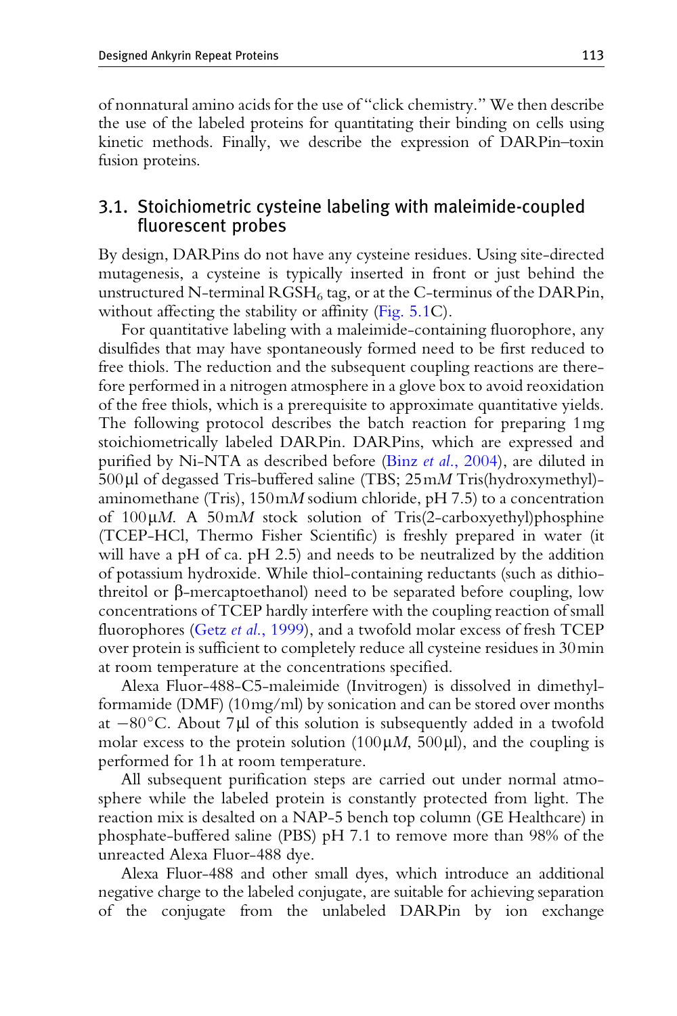<span id="page-12-0"></span>of nonnatural amino acids for the use of "click chemistry." We then describe the use of the labeled proteins for quantitating their binding on cells using kinetic methods. Finally, we describe the expression of DARPin–toxin fusion proteins.

## 3.1. Stoichiometric cysteine labeling with maleimide-coupled fluorescent probes

By design, DARPins do not have any cysteine residues. Using site-directed mutagenesis, a cysteine is typically inserted in front or just behind the unstructured N-terminal  $RGSH_6$  tag, or at the C-terminus of the DARPin, without affecting the stability or affinity [\(Fig. 5.1C](#page-3-0)).

For quantitative labeling with a maleimide-containing fluorophore, any disulfides that may have spontaneously formed need to be first reduced to free thiols. The reduction and the subsequent coupling reactions are therefore performed in a nitrogen atmosphere in a glove box to avoid reoxidation of the free thiols, which is a prerequisite to approximate quantitative yields. The following protocol describes the batch reaction for preparing 1mg stoichiometrically labeled DARPin. DARPins, which are expressed and purified by Ni-NTA as described before (Binz et al[., 2004\)](#page-29-0), are diluted in  $500 \mu$  of degassed Tris-buffered saline (TBS;  $25 \text{m} M$  Tris(hydroxymethyl)aminomethane (Tris),  $150 \text{m}M$  sodium chloride, pH 7.5) to a concentration of  $100\mu$ M. A  $50$ mM stock solution of Tris(2-carboxyethyl)phosphine (TCEP-HCl, Thermo Fisher Scientific) is freshly prepared in water (it will have a pH of ca. pH 2.5) and needs to be neutralized by the addition of potassium hydroxide. While thiol-containing reductants (such as dithiothreitol or  $\beta$ -mercaptoethanol) need to be separated before coupling, low concentrations of TCEP hardly interfere with the coupling reaction of small fluorophores (Getz et al[., 1999](#page-29-0)), and a twofold molar excess of fresh TCEP over protein is sufficient to completely reduce all cysteine residues in 30min at room temperature at the concentrations specified.

Alexa Fluor-488-C5-maleimide (Invitrogen) is dissolved in dimethylformamide (DMF) (10mg/ml) by sonication and can be stored over months at  $-80^{\circ}$ C. About 7µl of this solution is subsequently added in a twofold molar excess to the protein solution (100 $\mu$ *M*, 500 $\mu$ l), and the coupling is performed for 1h at room temperature.

All subsequent purification steps are carried out under normal atmosphere while the labeled protein is constantly protected from light. The reaction mix is desalted on a NAP-5 bench top column (GE Healthcare) in phosphate-buffered saline (PBS) pH 7.1 to remove more than 98% of the unreacted Alexa Fluor-488 dye.

Alexa Fluor-488 and other small dyes, which introduce an additional negative charge to the labeled conjugate, are suitable for achieving separation of the conjugate from the unlabeled DARPin by ion exchange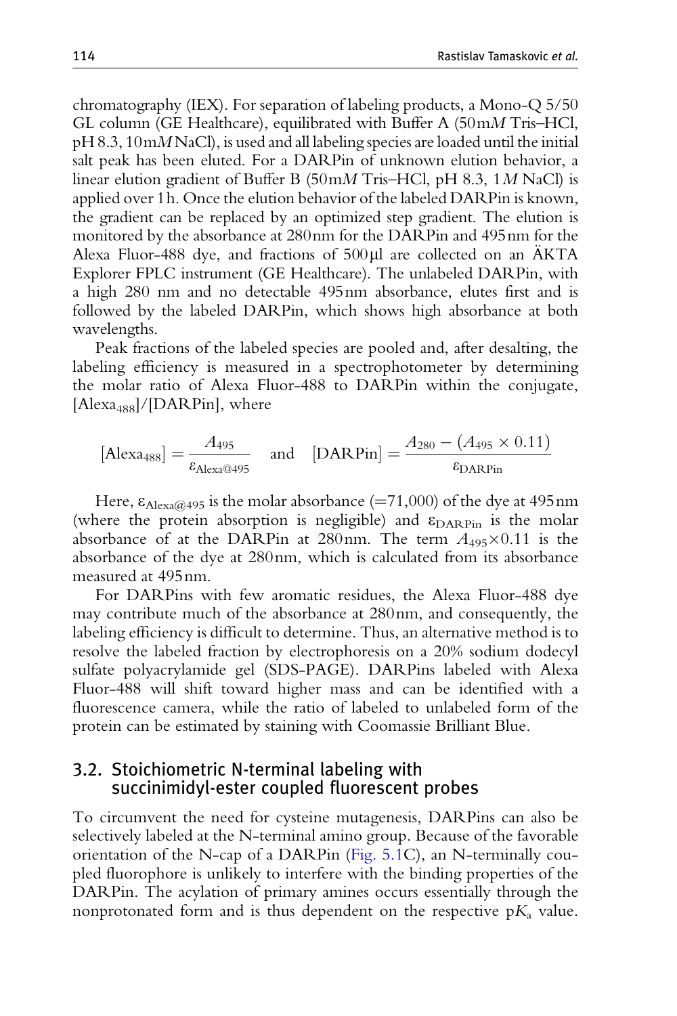chromatography (IEX). For separation of labeling products, a Mono-Q 5/50 GL column (GE Healthcare), equilibrated with Buffer A  $(50 \text{m} M)$  Tris–HCl, pH 8.3, 10mM NaCl), is used and all labeling species are loaded until the initial salt peak has been eluted. For a DARPin of unknown elution behavior, a linear elution gradient of Buffer B (50mM Tris–HCl, pH 8.3, 1M NaCl) is applied over 1h. Once the elution behavior of the labeled DARPin is known, the gradient can be replaced by an optimized step gradient. The elution is monitored by the absorbance at 280nm for the DARPin and 495nm for the Alexa Fluor-488 dye, and fractions of  $500 \mu l$  are collected on an AKTA Explorer FPLC instrument (GE Healthcare). The unlabeled DARPin, with a high 280 nm and no detectable 495nm absorbance, elutes first and is followed by the labeled DARPin, which shows high absorbance at both wavelengths.

Peak fractions of the labeled species are pooled and, after desalting, the labeling efficiency is measured in a spectrophotometer by determining the molar ratio of Alexa Fluor-488 to DARPin within the conjugate, [Alexa<sub>488</sub>]/[DARPin], where

$$
[\text{Alex}_{488}] = \frac{A_{495}}{\varepsilon_{\text{Alex}@495}} \quad \text{and} \quad [\text{DARPin}] = \frac{A_{280} - (A_{495} \times 0.11)}{\varepsilon_{\text{DARPin}}}
$$

Here,  $\varepsilon_{\text{Alexa@495}}$  is the molar absorbance (=71,000) of the dye at 495nm (where the protein absorption is negligible) and  $\varepsilon_{\text{DARPin}}$  is the molar absorbance of at the DARPin at 280nm. The term  $A_{495}\times0.11$  is the absorbance of the dye at 280nm, which is calculated from its absorbance measured at 495nm.

For DARPins with few aromatic residues, the Alexa Fluor-488 dye may contribute much of the absorbance at 280nm, and consequently, the labeling efficiency is difficult to determine. Thus, an alternative method is to resolve the labeled fraction by electrophoresis on a 20% sodium dodecyl sulfate polyacrylamide gel (SDS-PAGE). DARPins labeled with Alexa Fluor-488 will shift toward higher mass and can be identified with a fluorescence camera, while the ratio of labeled to unlabeled form of the protein can be estimated by staining with Coomassie Brilliant Blue.

#### 3.2. Stoichiometric N-terminal labeling with succinimidyl-ester coupled fluorescent probes

To circumvent the need for cysteine mutagenesis, DARPins can also be selectively labeled at the N-terminal amino group. Because of the favorable orientation of the N-cap of a DARPin ([Fig. 5.1](#page-3-0)C), an N-terminally coupled fluorophore is unlikely to interfere with the binding properties of the DARPin. The acylation of primary amines occurs essentially through the nonprotonated form and is thus dependent on the respective  $pK_a$  value.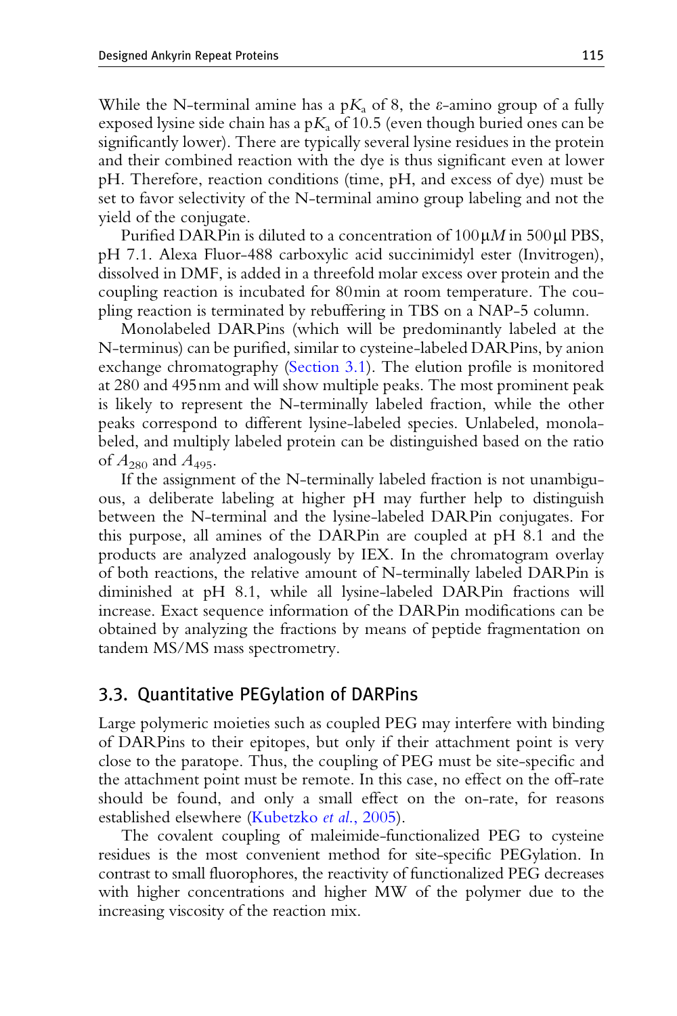<span id="page-14-0"></span>While the N-terminal amine has a  $pK_a$  of 8, the *t*-amino group of a fully exposed lysine side chain has a p $K_a$  of 10.5 (even though buried ones can be significantly lower). There are typically several lysine residues in the protein and their combined reaction with the dye is thus significant even at lower pH. Therefore, reaction conditions (time, pH, and excess of dye) must be set to favor selectivity of the N-terminal amino group labeling and not the yield of the conjugate.

Purified DARP in is diluted to a concentration of  $100 \mu M$  in  $500 \mu$ l PBS, pH 7.1. Alexa Fluor-488 carboxylic acid succinimidyl ester (Invitrogen), dissolved in DMF, is added in a threefold molar excess over protein and the coupling reaction is incubated for 80min at room temperature. The coupling reaction is terminated by rebuffering in TBS on a NAP-5 column.

Monolabeled DARPins (which will be predominantly labeled at the N-terminus) can be purified, similar to cysteine-labeled DARPins, by anion exchange chromatography [\(Section 3.1\)](#page-12-0). The elution profile is monitored at 280 and 495nm and will show multiple peaks. The most prominent peak is likely to represent the N-terminally labeled fraction, while the other peaks correspond to different lysine-labeled species. Unlabeled, monolabeled, and multiply labeled protein can be distinguished based on the ratio of  $A_{280}$  and  $A_{495}$ .

If the assignment of the N-terminally labeled fraction is not unambiguous, a deliberate labeling at higher pH may further help to distinguish between the N-terminal and the lysine-labeled DARPin conjugates. For this purpose, all amines of the DARPin are coupled at pH 8.1 and the products are analyzed analogously by IEX. In the chromatogram overlay of both reactions, the relative amount of N-terminally labeled DARPin is diminished at pH 8.1, while all lysine-labeled DARPin fractions will increase. Exact sequence information of the DARPin modifications can be obtained by analyzing the fractions by means of peptide fragmentation on tandem MS/MS mass spectrometry.

# 3.3. Quantitative PEGylation of DARPins

Large polymeric moieties such as coupled PEG may interfere with binding of DARPins to their epitopes, but only if their attachment point is very close to the paratope. Thus, the coupling of PEG must be site-specific and the attachment point must be remote. In this case, no effect on the off-rate should be found, and only a small effect on the on-rate, for reasons established elsewhere ([Kubetzko](#page-30-0) et al., 2005).

The covalent coupling of maleimide-functionalized PEG to cysteine residues is the most convenient method for site-specific PEGylation. In contrast to small fluorophores, the reactivity of functionalized PEG decreases with higher concentrations and higher MW of the polymer due to the increasing viscosity of the reaction mix.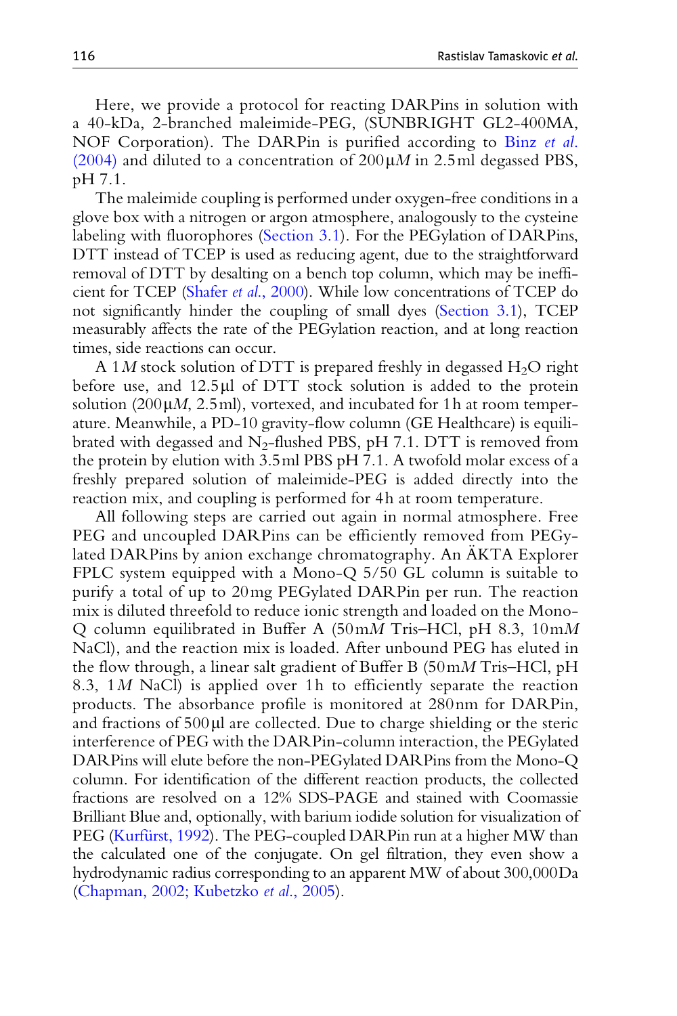Here, we provide a protocol for reacting DARPins in solution with a 40-kDa, 2-branched maleimide-PEG, (SUNBRIGHT GL2-400MA, NOF Corporation). The DARPin is purified according to [Binz](#page-29-0) et al. [\(2004\)](#page-29-0) and diluted to a concentration of  $200 \mu M$  in 2.5ml degassed PBS, pH 7.1.

The maleimide coupling is performed under oxygen-free conditions in a glove box with a nitrogen or argon atmosphere, analogously to the cysteine labeling with fluorophores ([Section 3.1](#page-12-0)). For the PEGylation of DARPins, DTT instead of TCEP is used as reducing agent, due to the straightforward removal of DTT by desalting on a bench top column, which may be inefficient for TCEP (Shafer et al[., 2000\)](#page-31-0). While low concentrations of TCEP do not significantly hinder the coupling of small dyes [\(Section 3.1](#page-12-0)), TCEP measurably affects the rate of the PEGylation reaction, and at long reaction times, side reactions can occur.

A 1M stock solution of DTT is prepared freshly in degassed  $H_2O$  right before use, and  $12.5 \mu$ l of DTT stock solution is added to the protein solution (200 $\mu$ *M*, 2.5ml), vortexed, and incubated for 1h at room temperature. Meanwhile, a PD-10 gravity-flow column (GE Healthcare) is equilibrated with degassed and  $N_2$ -flushed PBS, pH 7.1. DTT is removed from the protein by elution with 3.5ml PBS pH 7.1. A twofold molar excess of a freshly prepared solution of maleimide-PEG is added directly into the reaction mix, and coupling is performed for 4h at room temperature.

All following steps are carried out again in normal atmosphere. Free PEG and uncoupled DARPins can be efficiently removed from PEGylated DARPins by anion exchange chromatography. An AKTA Explorer FPLC system equipped with a Mono-Q 5/50 GL column is suitable to purify a total of up to 20mg PEGylated DARPin per run. The reaction mix is diluted threefold to reduce ionic strength and loaded on the Mono-Q column equilibrated in Buffer A (50mM Tris–HCl, pH 8.3, 10mM NaCl), and the reaction mix is loaded. After unbound PEG has eluted in the flow through, a linear salt gradient of Buffer B  $(50 \text{m} M)$  Tris–HCl, pH 8.3, 1M NaCl) is applied over 1h to efficiently separate the reaction products. The absorbance profile is monitored at 280nm for DARPin, and fractions of  $500 \mu l$  are collected. Due to charge shielding or the steric interference of PEG with the DARPin-column interaction, the PEGylated DARPins will elute before the non-PEGylated DARPins from the Mono-Q column. For identification of the different reaction products, the collected fractions are resolved on a 12% SDS-PAGE and stained with Coomassie Brilliant Blue and, optionally, with barium iodide solution for visualization of PEG (Kurfürst, 1992). The PEG-coupled DARPin run at a higher MW than the calculated one of the conjugate. On gel filtration, they even show a hydrodynamic radius corresponding to an apparent MW of about 300,000Da ([Chapman, 2002; Kubetzko](#page-29-0) et al., 2005).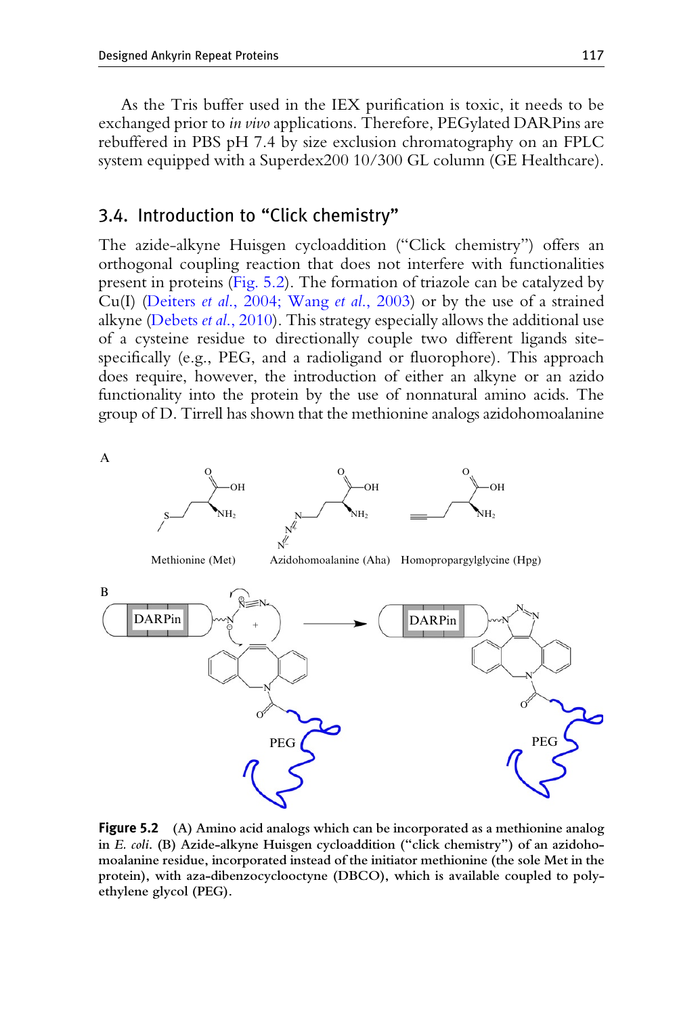As the Tris buffer used in the IEX purification is toxic, it needs to be exchanged prior to *in vivo* applications. Therefore, PEGylated DAR Pins are rebuffered in PBS pH 7.4 by size exclusion chromatography on an FPLC system equipped with a Superdex200 10/300 GL column (GE Healthcare).

## 3.4. Introduction to "Click chemistry"

The azide-alkyne Huisgen cycloaddition ("Click chemistry") offers an orthogonal coupling reaction that does not interfere with functionalities present in proteins (Fig. 5.2). The formation of triazole can be catalyzed by Cu(I) (Deiters *et al.*, 2004; Wang *et al.*, 2003) or by the use of a strained alkyne [\(Debets](#page-29-0) *et al.*, 2010). This strategy especially allows the additional use of a cysteine residue to directionally couple two different ligands sitespecifically (e.g., PEG, and a radioligand or fluorophore). This approach does require, however, the introduction of either an alkyne or an azido functionality into the protein by the use of nonnatural amino acids. The group of D. Tirrell has shown that the methionine analogs azidohomoalanine



Figure <sup>5</sup>.<sup>2</sup> (A) Amino acid analogs which can be incorporated as a methionine analog in E. coli. (B) Azide-alkyne Huisgen cycloaddition ("click chemistry") of an azidohomoalanine residue, incorporated instead of the initiator methionine (the sole Met in the protein), with aza-dibenzocyclooctyne (DBCO), which is available coupled to polyethylene glycol (PEG).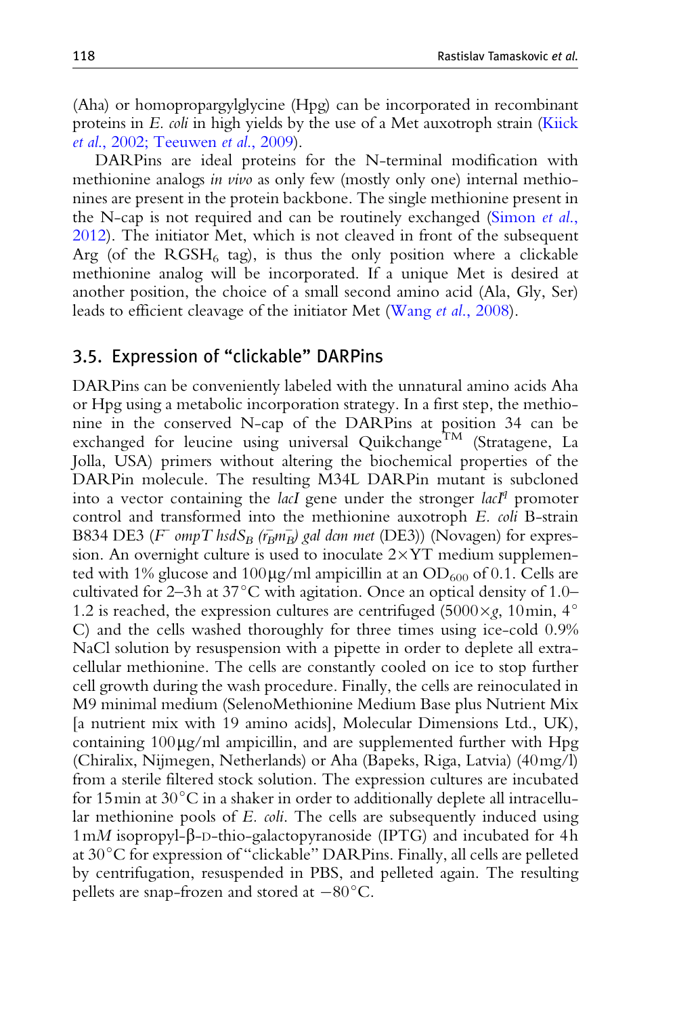(Aha) or homopropargylglycine (Hpg) can be incorporated in recombinant proteins in E. coli in high yields by the use of a Met auxotroph strain [\(Kiick](#page-30-0) et al[., 2002; Teeuwen](#page-30-0) et al., 2009).

DARPins are ideal proteins for the N-terminal modification with methionine analogs *in vivo* as only few (mostly only one) internal methionines are present in the protein backbone. The single methionine present in the N-cap is not required and can be routinely exchanged ([Simon](#page-31-0) et al., [2012\)](#page-31-0). The initiator Met, which is not cleaved in front of the subsequent Arg (of the  $RGSH_6$  tag), is thus the only position where a clickable methionine analog will be incorporated. If a unique Met is desired at another position, the choice of a small second amino acid (Ala, Gly, Ser) leads to efficient cleavage of the initiator Met (Wang et al[., 2008\)](#page-32-0).

## 3.5. Expression of "clickable" DARPins

DARPins can be conveniently labeled with the unnatural amino acids Aha or Hpg using a metabolic incorporation strategy. In a first step, the methionine in the conserved N-cap of the DARPins at position 34 can be exchanged for leucine using universal Quikchange<sup>TM</sup> (Stratagene, La Jolla, USA) primers without altering the biochemical properties of the DARPin molecule. The resulting M34L DARPin mutant is subcloned into a vector containing the *lacI* gene under the stronger  $lacI<sup>q</sup>$  promoter control and transformed into the methionine auxotroph E. coli B-strain B834 DE3 ( $F$  ompT hsdS<sub>B</sub> ( $r_B m_B$ ) gal dcm met (DE3)) (Novagen) for expression. An overnight culture is used to inoculate  $2\times$ YT medium supplemented with 1% glucose and 100  $\mu$ g/ml ampicillin at an OD<sub>600</sub> of 0.1. Cells are cultivated for 2–3h at  $37^{\circ}$ C with agitation. Once an optical density of 1.0– 1.2 is reached, the expression cultures are centrifuged (5000 $\times g$ , 10min, 4 $\degree$ C) and the cells washed thoroughly for three times using ice-cold 0.9% NaCl solution by resuspension with a pipette in order to deplete all extracellular methionine. The cells are constantly cooled on ice to stop further cell growth during the wash procedure. Finally, the cells are reinoculated in M9 minimal medium (SelenoMethionine Medium Base plus Nutrient Mix [a nutrient mix with 19 amino acids], Molecular Dimensions Ltd., UK), containing  $100\mu g/ml$  ampicillin, and are supplemented further with Hpg (Chiralix, Nijmegen, Netherlands) or Aha (Bapeks, Riga, Latvia) (40mg/l) from a sterile filtered stock solution. The expression cultures are incubated for 15 $\min$  at 30 $\mathrm{^{\circ}C}$  in a shaker in order to additionally deplete all intracellular methionine pools of E. coli. The cells are subsequently induced using  $1 \text{m}$  isopropyl- $\beta$ -D-thio-galactopyranoside (IPTG) and incubated for 4h at  $30^{\circ}$ C for expression of "clickable" DARPins. Finally, all cells are pelleted by centrifugation, resuspended in PBS, and pelleted again. The resulting pellets are snap-frozen and stored at  $-80^{\circ}$ C.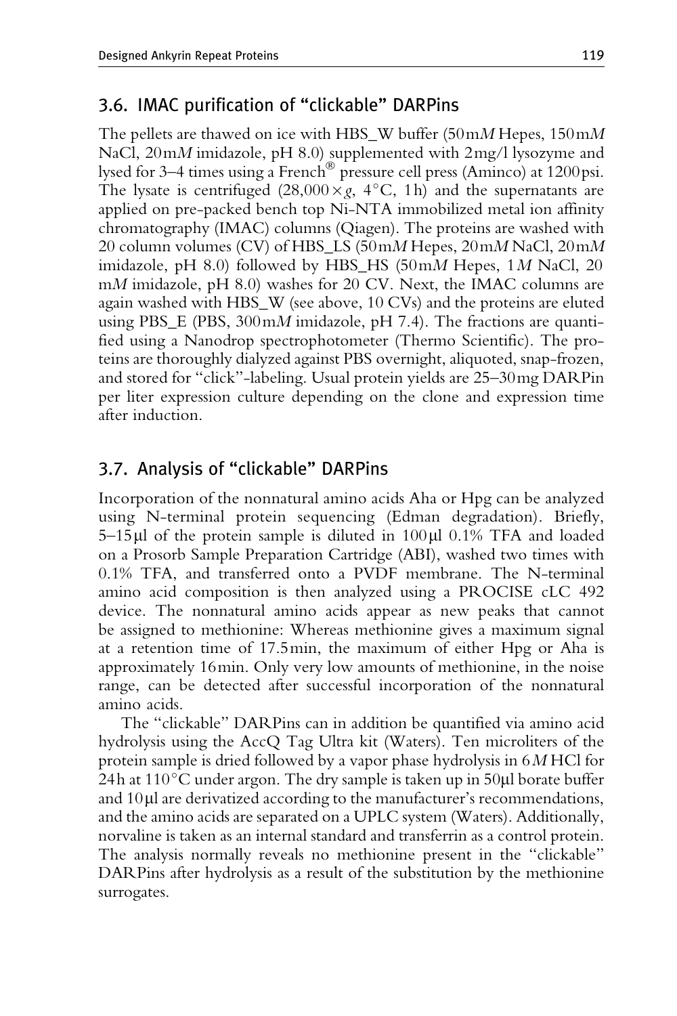# 3.6. IMAC purification of "clickable" DARPins

The pellets are thawed on ice with HBS\_W buffer (50mM Hepes,  $150 \text{m}$ NaCl,  $20 \text{m}M$  imidazole, pH 8.0) supplemented with  $2 \text{mg}/l$  lysozyme and lysed for 3–4 times using a French<sup>®</sup> pressure cell press (Aminco) at 1200 psi. The lysate is centrifuged  $(28,000 \times g, 4^{\circ}C, 1h)$  and the supernatants are applied on pre-packed bench top Ni-NTA immobilized metal ion affinity chromatography (IMAC) columns (Qiagen). The proteins are washed with 20 column volumes (CV) of HBS\_LS (50mM Hepes, 20mM NaCl, 20mM imidazole, pH 8.0) followed by HBS\_HS (50mM Hepes, 1M NaCl, 20 mM imidazole, pH 8.0) washes for 20 CV. Next, the IMAC columns are again washed with HBS\_W (see above, 10 CVs) and the proteins are eluted using PBS\_E (PBS, 300 mM imidazole, pH 7.4). The fractions are quantified using a Nanodrop spectrophotometer (Thermo Scientific). The proteins are thoroughly dialyzed against PBS overnight, aliquoted, snap-frozen, and stored for "click"-labeling. Usual protein yields are 25–30mg DARPin per liter expression culture depending on the clone and expression time after induction.

# 3.7. Analysis of "clickable" DARPins

Incorporation of the nonnatural amino acids Aha or Hpg can be analyzed using N-terminal protein sequencing (Edman degradation). Briefly,  $5-15\mu$  of the protein sample is diluted in 100 $\mu$ l 0.1% TFA and loaded on a Prosorb Sample Preparation Cartridge (ABI), washed two times with 0.1% TFA, and transferred onto a PVDF membrane. The N-terminal amino acid composition is then analyzed using a PROCISE cLC 492 device. The nonnatural amino acids appear as new peaks that cannot be assigned to methionine: Whereas methionine gives a maximum signal at a retention time of 17.5min, the maximum of either Hpg or Aha is approximately 16min. Only very low amounts of methionine, in the noise range, can be detected after successful incorporation of the nonnatural amino acids.

The "clickable" DARPins can in addition be quantified via amino acid hydrolysis using the AccQ Tag Ultra kit (Waters). Ten microliters of the protein sample is dried followed by a vapor phase hydrolysis in 6M HCl for 24h at 110 $^{\circ}$ C under argon. The dry sample is taken up in 50µl borate buffer and  $10\mu$  are derivatized according to the manufacturer's recommendations, and the amino acids are separated on a UPLC system (Waters). Additionally, norvaline is taken as an internal standard and transferrin as a control protein. The analysis normally reveals no methionine present in the "clickable" DARPins after hydrolysis as a result of the substitution by the methionine surrogates.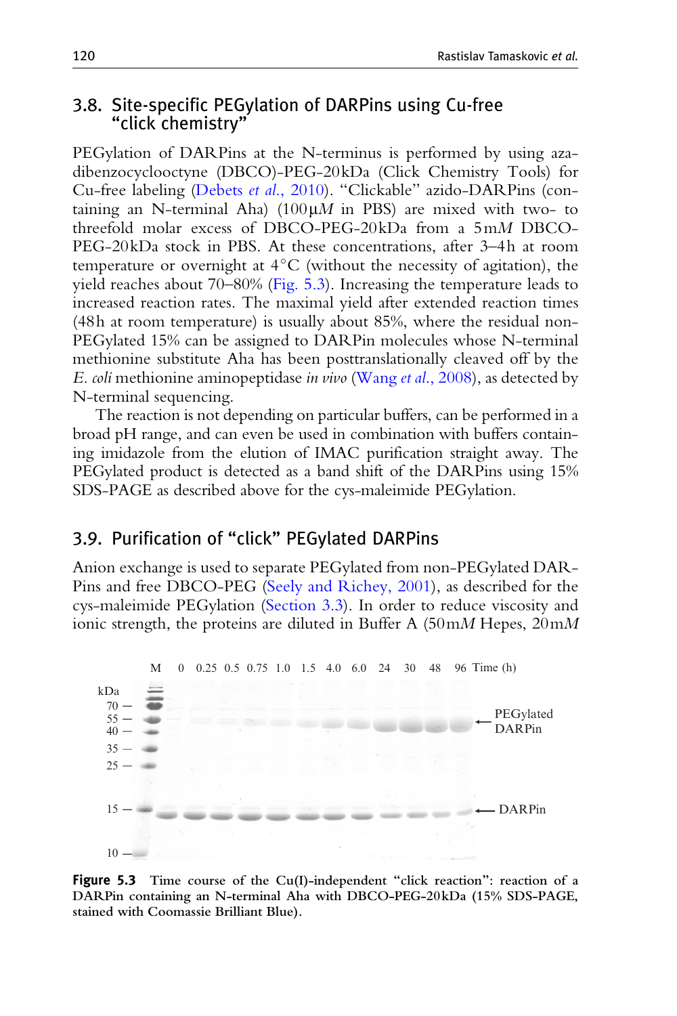## 3.8. Site-specific PEGylation of DARPins using Cu-free "click chemistry"

PEGylation of DARPins at the N-terminus is performed by using azadibenzocyclooctyne (DBCO)-PEG-20kDa (Click Chemistry Tools) for Cu-free labeling (Debets et al[., 2010\)](#page-29-0). "Clickable" azido-DARPins (containing an N-terminal Aha) (100 $\mu$ M in PBS) are mixed with two- to threefold molar excess of DBCO-PEG-20kDa from a 5mM DBCO-PEG-20kDa stock in PBS. At these concentrations, after 3–4h at room temperature or overnight at  $4^{\circ}$ C (without the necessity of agitation), the yield reaches about 70–80% (Fig. 5.3). Increasing the temperature leads to increased reaction rates. The maximal yield after extended reaction times (48h at room temperature) is usually about 85%, where the residual non-PEGylated 15% can be assigned to DARPin molecules whose N-terminal methionine substitute Aha has been posttranslationally cleaved off by the E. coli methionine aminopeptidase in vivo (Wang et al[., 2008](#page-32-0)), as detected by N-terminal sequencing.

The reaction is not depending on particular buffers, can be performed in a broad pH range, and can even be used in combination with buffers containing imidazole from the elution of IMAC purification straight away. The PEGylated product is detected as a band shift of the DARPins using 15% SDS-PAGE as described above for the cys-maleimide PEGylation.

# 3.9. Purification of "click" PEGylated DARPins

Anion exchange is used to separate PEGylated from non-PEGylated DAR-Pins and free DBCO-PEG [\(Seely and Richey, 2001](#page-31-0)), as described for the cys-maleimide PEGylation ([Section 3.3\)](#page-14-0). In order to reduce viscosity and ionic strength, the proteins are diluted in Buffer A  $(50 \text{m} M$  Hepes,  $20 \text{m} M$ 



Figure <sup>5</sup>.<sup>3</sup> Time course of the Cu(I)-independent "click reaction": reaction of a DARPin containing an N-terminal Aha with DBCO-PEG-20kDa (15% SDS-PAGE, stained with Coomassie Brilliant Blue).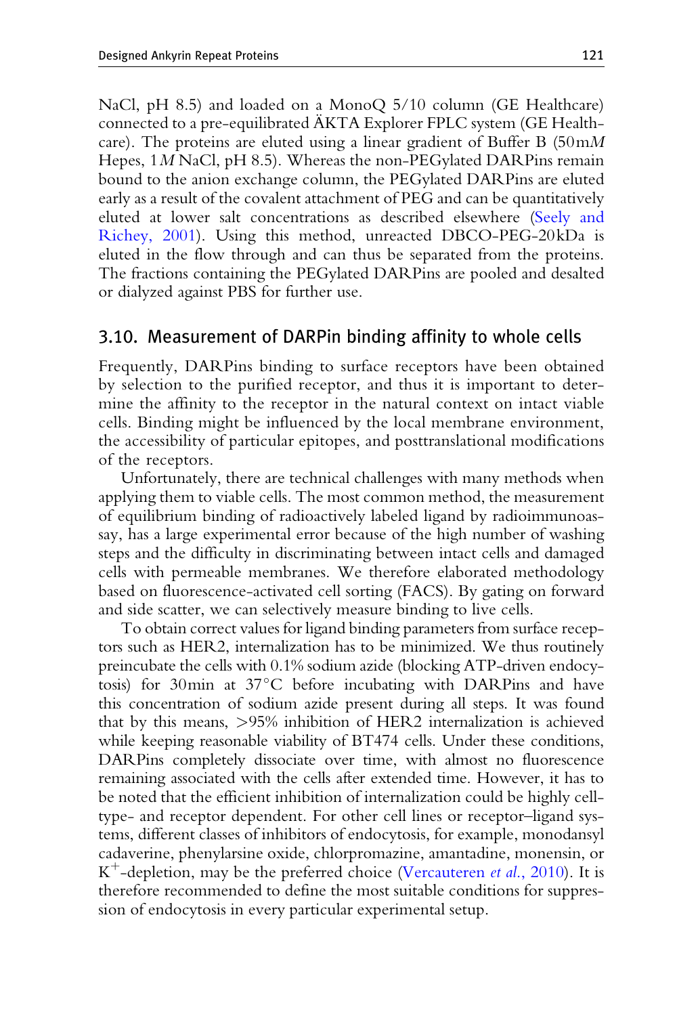NaCl, pH 8.5) and loaded on a MonoQ 5/10 column (GE Healthcare) connected to a pre-equilibrated AKTA Explorer FPLC system (GE Healthcare). The proteins are eluted using a linear gradient of Buffer B  $(50 \text{m}M)$ Hepes, 1M NaCl, pH 8.5). Whereas the non-PEGylated DARPins remain bound to the anion exchange column, the PEGylated DARPins are eluted early as a result of the covalent attachment of PEG and can be quantitatively eluted at lower salt concentrations as described elsewhere [\(Seely and](#page-31-0) [Richey, 2001](#page-31-0)). Using this method, unreacted DBCO-PEG-20kDa is eluted in the flow through and can thus be separated from the proteins. The fractions containing the PEGylated DARPins are pooled and desalted or dialyzed against PBS for further use.

#### 3.10. Measurement of DARPin binding affinity to whole cells

Frequently, DARPins binding to surface receptors have been obtained by selection to the purified receptor, and thus it is important to determine the affinity to the receptor in the natural context on intact viable cells. Binding might be influenced by the local membrane environment, the accessibility of particular epitopes, and posttranslational modifications of the receptors.

Unfortunately, there are technical challenges with many methods when applying them to viable cells. The most common method, the measurement of equilibrium binding of radioactively labeled ligand by radioimmunoassay, has a large experimental error because of the high number of washing steps and the difficulty in discriminating between intact cells and damaged cells with permeable membranes. We therefore elaborated methodology based on fluorescence-activated cell sorting (FACS). By gating on forward and side scatter, we can selectively measure binding to live cells.

To obtain correct values for ligand binding parameters from surface receptors such as HER2, internalization has to be minimized. We thus routinely preincubate the cells with 0.1% sodium azide (blocking ATP-driven endocytosis) for 30 $\text{min}$  at 37 $\textdegree$ C before incubating with DARPins and have this concentration of sodium azide present during all steps. It was found that by this means, >95% inhibition of HER2 internalization is achieved while keeping reasonable viability of BT474 cells. Under these conditions, DARPins completely dissociate over time, with almost no fluorescence remaining associated with the cells after extended time. However, it has to be noted that the efficient inhibition of internalization could be highly celltype- and receptor dependent. For other cell lines or receptor–ligand systems, different classes of inhibitors of endocytosis, for example, monodansyl cadaverine, phenylarsine oxide, chlorpromazine, amantadine, monensin, or  $K^+$ -depletion, may be the preferred choice ([Vercauteren](#page-32-0) *et al.*, 2010). It is therefore recommended to define the most suitable conditions for suppression of endocytosis in every particular experimental setup.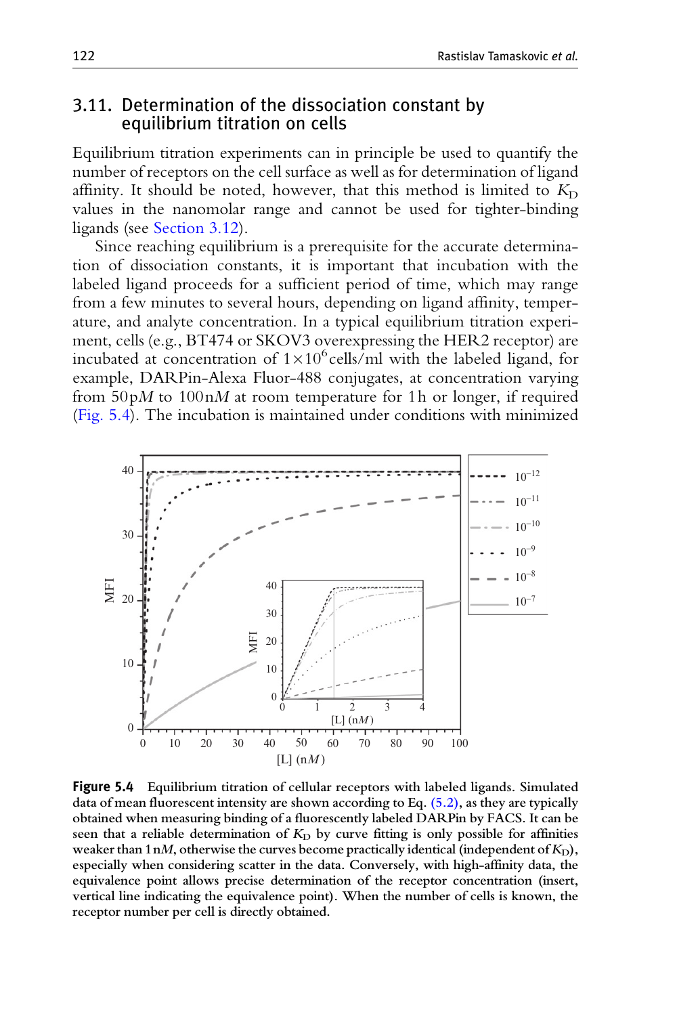#### <span id="page-21-0"></span>3.11. Determination of the dissociation constant by equilibrium titration on cells

Equilibrium titration experiments can in principle be used to quantify the number of receptors on the cell surface as well as for determination of ligand affinity. It should be noted, however, that this method is limited to  $K_D$ values in the nanomolar range and cannot be used for tighter-binding ligands (see [Section 3.12](#page-23-0)).

Since reaching equilibrium is a prerequisite for the accurate determination of dissociation constants, it is important that incubation with the labeled ligand proceeds for a sufficient period of time, which may range from a few minutes to several hours, depending on ligand affinity, temperature, and analyte concentration. In a typical equilibrium titration experiment, cells (e.g., BT474 or SKOV3 overexpressing the HER2 receptor) are incubated at concentration of  $1 \times 10^6$  cells/ml with the labeled ligand, for example, DARPin-Alexa Fluor-488 conjugates, at concentration varying from  $50pM$  to  $100nM$  at room temperature for 1h or longer, if required (Fig. 5.4). The incubation is maintained under conditions with minimized



Figure <sup>5</sup>.<sup>4</sup> Equilibrium titration of cellular receptors with labeled ligands. Simulated data of mean fluorescent intensity are shown according to Eq. [\(5.2\),](#page-22-0) as they are typically obtained when measuring binding of a fluorescently labeled DARPin by FACS. It can be seen that a reliable determination of  $K<sub>D</sub>$  by curve fitting is only possible for affinities weaker than 1nM, otherwise the curves become practically identical (independent of  $K<sub>D</sub>$ ), especially when considering scatter in the data. Conversely, with high-affinity data, the equivalence point allows precise determination of the receptor concentration (insert, vertical line indicating the equivalence point). When the number of cells is known, the receptor number per cell is directly obtained.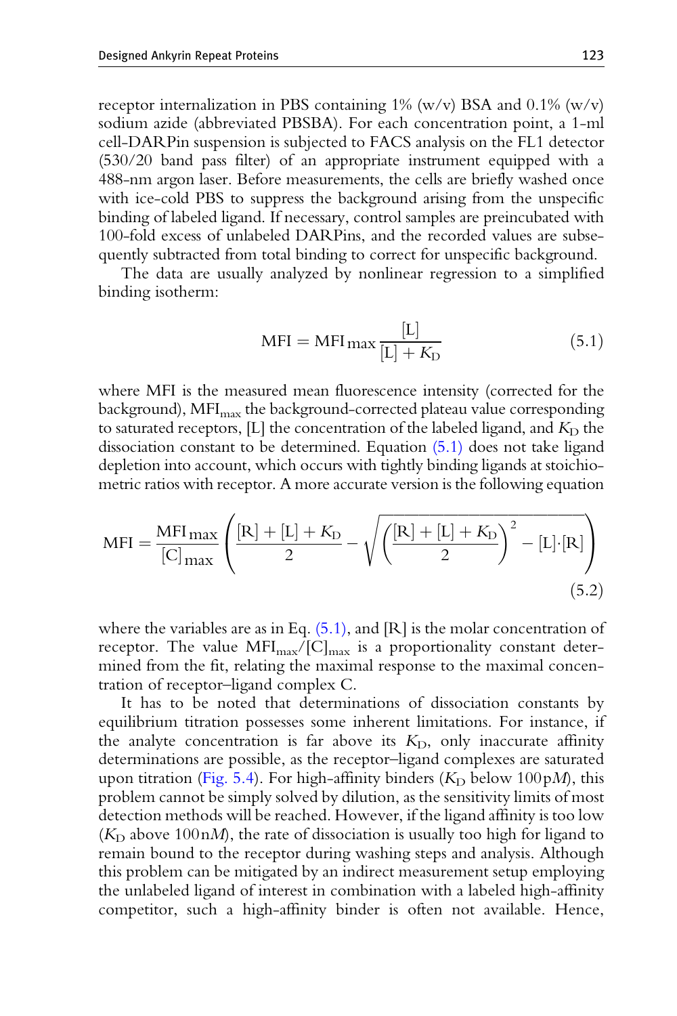<span id="page-22-0"></span>receptor internalization in PBS containing  $1\%$  (w/v) BSA and 0.1% (w/v) sodium azide (abbreviated PBSBA). For each concentration point, a 1-ml cell-DARPin suspension is subjected to FACS analysis on the FL1 detector (530/20 band pass filter) of an appropriate instrument equipped with a 488-nm argon laser. Before measurements, the cells are briefly washed once with ice-cold PBS to suppress the background arising from the unspecific binding of labeled ligand. If necessary, control samples are preincubated with 100-fold excess of unlabeled DARPins, and the recorded values are subsequently subtracted from total binding to correct for unspecific background.

The data are usually analyzed by nonlinear regression to a simplified binding isotherm:

$$
MFI = MFI_{\text{max}} \frac{[L]}{[L] + K_{D}}
$$
\n(5.1)

where MFI is the measured mean fluorescence intensity (corrected for the background), MFI $_{\text{max}}$  the background-corrected plateau value corresponding to saturated receptors, [L] the concentration of the labeled ligand, and  $K_D$  the dissociation constant to be determined. Equation (5.1) does not take ligand depletion into account, which occurs with tightly binding ligands at stoichiometric ratios with receptor. A more accurate version is the following equation

$$
MFI = \frac{MFI_{\text{max}}}{[C]_{\text{max}}} \left( \frac{[R] + [L] + K_D}{2} - \sqrt{\left( \frac{[R] + [L] + K_D}{2} \right)^2 - [L] \cdot [R]} \right)
$$
\n
$$
(5.2)
$$

where the variables are as in Eq.  $(5.1)$ , and [R] is the molar concentration of receptor. The value  $MFI_{\text{max}}/[C]_{\text{max}}$  is a proportionality constant determined from the fit, relating the maximal response to the maximal concentration of receptor–ligand complex C.

It has to be noted that determinations of dissociation constants by equilibrium titration possesses some inherent limitations. For instance, if the analyte concentration is far above its  $K<sub>D</sub>$ , only inaccurate affinity determinations are possible, as the receptor–ligand complexes are saturated upon titration [\(Fig. 5.4](#page-21-0)). For high-affinity binders ( $K<sub>D</sub>$  below 100 pM), this problem cannot be simply solved by dilution, as the sensitivity limits of most detection methods will be reached. However, if the ligand affinity is too low ( $K_{\rm D}$  above 100nM), the rate of dissociation is usually too high for ligand to remain bound to the receptor during washing steps and analysis. Although this problem can be mitigated by an indirect measurement setup employing the unlabeled ligand of interest in combination with a labeled high-affinity competitor, such a high-affinity binder is often not available. Hence,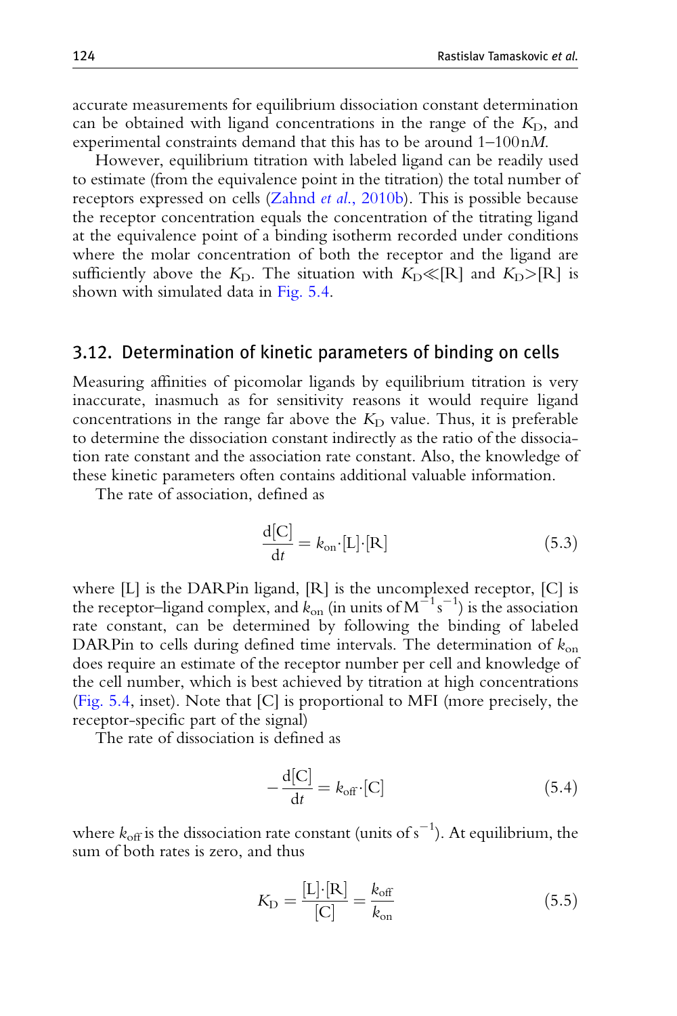<span id="page-23-0"></span>accurate measurements for equilibrium dissociation constant determination can be obtained with ligand concentrations in the range of the  $K_D$ , and experimental constraints demand that this has to be around 1–100nM.

However, equilibrium titration with labeled ligand can be readily used to estimate (from the equivalence point in the titration) the total number of receptors expressed on cells (Zahnd et al[., 2010b](#page-33-0)). This is possible because the receptor concentration equals the concentration of the titrating ligand at the equivalence point of a binding isotherm recorded under conditions where the molar concentration of both the receptor and the ligand are sufficiently above the  $K<sub>D</sub>$ . The situation with  $K<sub>D</sub>\llbracket R \rrbracket$  and  $K<sub>D</sub>>[R]$  is shown with simulated data in [Fig. 5.4](#page-21-0).

#### 3.12. Determination of kinetic parameters of binding on cells

Measuring affinities of picomolar ligands by equilibrium titration is very inaccurate, inasmuch as for sensitivity reasons it would require ligand concentrations in the range far above the  $K<sub>D</sub>$  value. Thus, it is preferable to determine the dissociation constant indirectly as the ratio of the dissociation rate constant and the association rate constant. Also, the knowledge of these kinetic parameters often contains additional valuable information.

The rate of association, defined as

$$
\frac{\mathrm{d}[\mathrm{C}]}{\mathrm{d}t} = k_{\mathrm{on}} \cdot [\mathrm{L}] \cdot [\mathrm{R}] \tag{5.3}
$$

where [L] is the DARPin ligand, [R] is the uncomplexed receptor, [C] is the receptor–ligand complex, and  $k_{on}$  (in units of  $M^{-1}s^{-1}$ ) is the association rate constant, can be determined by following the binding of labeled DARPin to cells during defined time intervals. The determination of  $k_{on}$ does require an estimate of the receptor number per cell and knowledge of the cell number, which is best achieved by titration at high concentrations ([Fig. 5.4](#page-21-0), inset). Note that [C] is proportional to MFI (more precisely, the receptor-specific part of the signal)

The rate of dissociation is defined as

$$
-\frac{\mathrm{d}[\mathrm{C}]}{\mathrm{d}t} = k_{\text{off}} \cdot [\mathrm{C}] \tag{5.4}
$$

where  $k_{\rm off}$  is the dissociation rate constant (units of  ${\rm s}^{-1}$ ). At equilibrium, the sum of both rates is zero, and thus

$$
K_{\rm D} = \frac{[L] \cdot [R]}{[C]} = \frac{k_{\rm off}}{k_{\rm on}} \tag{5.5}
$$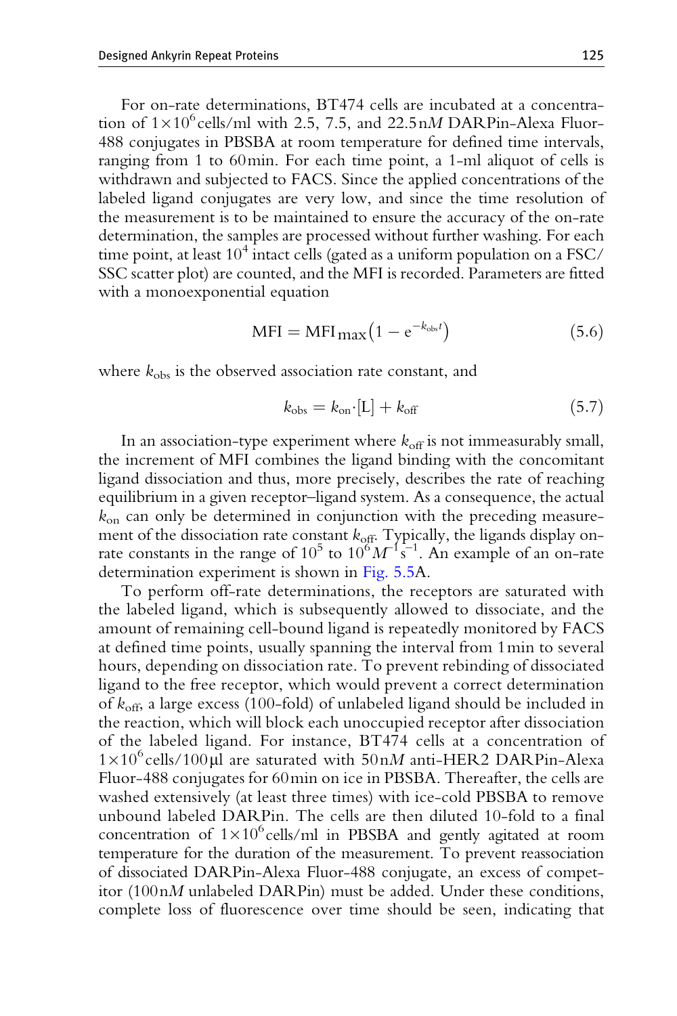<span id="page-24-0"></span>For on-rate determinations, BT474 cells are incubated at a concentration of  $1 \times 10^6$  cells/ml with 2.5, 7.5, and 22.5 nM DARPin-Alexa Fluor-488 conjugates in PBSBA at room temperature for defined time intervals, ranging from 1 to 60min. For each time point, a 1-ml aliquot of cells is withdrawn and subjected to FACS. Since the applied concentrations of the labeled ligand conjugates are very low, and since the time resolution of the measurement is to be maintained to ensure the accuracy of the on-rate determination, the samples are processed without further washing. For each time point, at least 10<sup>4</sup> intact cells (gated as a uniform population on a FSC/ SSC scatter plot) are counted, and the MFI is recorded. Parameters are fitted with a monoexponential equation

$$
MFI = MFI_{\text{max}}(1 - e^{-k_{\text{obs}}t})
$$
\n(5.6)

where  $k_{obs}$  is the observed association rate constant, and

$$
k_{\rm obs} = k_{\rm on} \cdot [L] + k_{\rm off} \tag{5.7}
$$

In an association-type experiment where  $k_{\text{off}}$  is not immeasurably small, the increment of MFI combines the ligand binding with the concomitant ligand dissociation and thus, more precisely, describes the rate of reaching equilibrium in a given receptor–ligand system. As a consequence, the actual  $k_{on}$  can only be determined in conjunction with the preceding measurement of the dissociation rate constant  $k_{\text{off}}$ . Typically, the ligands display onrate constants in the range of  $10^5$  to  $10^6 M^{-1}$ s<sup>-1</sup>. An example of an on-rate determination experiment is shown in [Fig. 5.5A](#page-25-0).

To perform off-rate determinations, the receptors are saturated with the labeled ligand, which is subsequently allowed to dissociate, and the amount of remaining cell-bound ligand is repeatedly monitored by FACS at defined time points, usually spanning the interval from 1min to several hours, depending on dissociation rate. To prevent rebinding of dissociated ligand to the free receptor, which would prevent a correct determination of  $k_{\text{off}}$ , a large excess (100-fold) of unlabeled ligand should be included in the reaction, which will block each unoccupied receptor after dissociation of the labeled ligand. For instance, BT474 cells at a concentration of  $1\times10^6$  cells/100 $\mu$ l are saturated with  $50nM$  anti-HER2 DARPin-Alexa Fluor-488 conjugates for 60min on ice in PBSBA. Thereafter, the cells are washed extensively (at least three times) with ice-cold PBSBA to remove unbound labeled DARPin. The cells are then diluted 10-fold to a final concentration of  $1 \times 10^6$  cells/ml in PBSBA and gently agitated at room temperature for the duration of the measurement. To prevent reassociation of dissociated DARPin-Alexa Fluor-488 conjugate, an excess of competitor  $(100nM)$  unlabeled DARPin) must be added. Under these conditions, complete loss of fluorescence over time should be seen, indicating that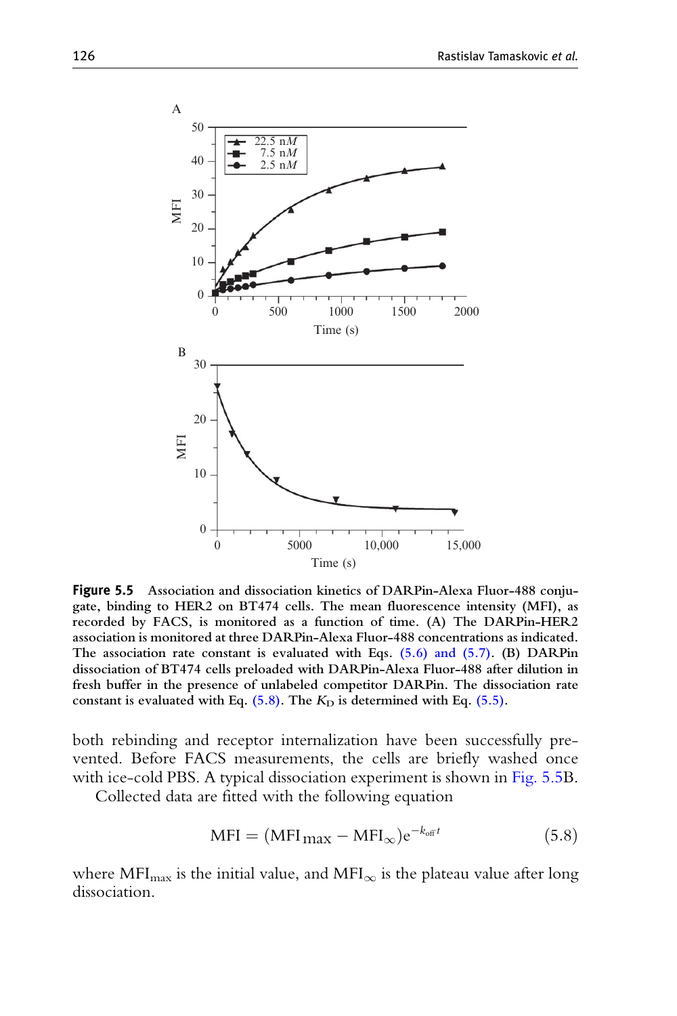<span id="page-25-0"></span>

Figure <sup>5</sup>.<sup>5</sup> Association and dissociation kinetics of DARPin-Alexa Fluor-488 conjugate, binding to HER2 on BT474 cells. The mean fluorescence intensity (MFI), as recorded by FACS, is monitored as a function of time. (A) The DARPin-HER2 association is monitored at three DARPin-Alexa Fluor-488 concentrations as indicated. The association rate constant is evaluated with Eqs. [\(5.6\) and \(5.7\)](#page-24-0). (B) DARPin dissociation of BT474 cells preloaded with DARPin-Alexa Fluor-488 after dilution in fresh buffer in the presence of unlabeled competitor DARPin. The dissociation rate constant is evaluated with Eq.  $(5.8)$ . The  $K<sub>D</sub>$  is determined with Eq.  $(5.5)$ .

both rebinding and receptor internalization have been successfully prevented. Before FACS measurements, the cells are briefly washed once with ice-cold PBS. A typical dissociation experiment is shown in Fig. 5.5B.

Collected data are fitted with the following equation

$$
MFI = (MFI_{\text{max}} - MFI_{\infty})e^{-k_{\text{off}}t}
$$
\n(5.8)

where MFI<sub>max</sub> is the initial value, and MFI<sub> $\infty$ </sub> is the plateau value after long dissociation.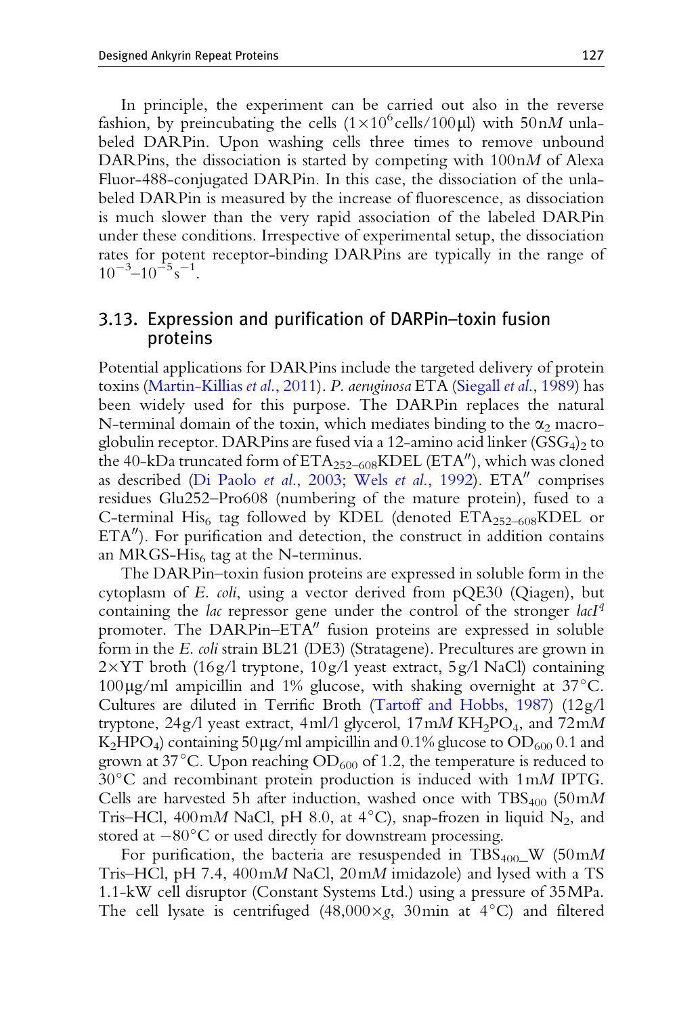<span id="page-26-0"></span>In principle, the experiment can be carried out also in the reverse fashion, by preincubating the cells  $(1 \times 10^{6} \text{ cells}/100 \mu\text{I})$  with  $50 \text{n}M$  unlabeled DARPin. Upon washing cells three times to remove unbound DARPins, the dissociation is started by competing with 100nM of Alexa Fluor-488-conjugated DARPin. In this case, the dissociation of the unlabeled DARPin is measured by the increase of fluorescence, as dissociation is much slower than the very rapid association of the labeled DARPin under these conditions. Irrespective of experimental setup, the dissociation rates for potent receptor-binding DARPins are typically in the range of  $10^{-3}$  –  $10^{-5}$  s<sup>-1</sup>.

## 3.13. Expression and purification of DARPin–toxin fusion proteins

Potential applications for DARPins include the targeted delivery of protein toxins [\(Martin-Killias](#page-30-0) et al., 2011). P. aeruginosa ETA (Siegall et al[., 1989\)](#page-31-0) has been widely used for this purpose. The DARPin replaces the natural N-terminal domain of the toxin, which mediates binding to the  $\alpha_2$  macroglobulin receptor. DAR Pins are fused via a 12-amino acid linker (GSG<sub>4</sub>)<sub>2</sub> to the 40-kDa truncated form of  $ETA_{252-608}KDEL$  (ETA''), which was cloned as described (Di Paolo et al[., 2003; Wels](#page-29-0) et al., 1992). ETA" comprises residues Glu252–Pro608 (numbering of the mature protein), fused to a C-terminal His<sub>6</sub> tag followed by KDEL (denoted  $ETA_{252-608}KDEL$  or  $ETA^{\prime\prime}$ ). For purification and detection, the construct in addition contains an MRGS-His $<sub>6</sub>$  tag at the N-terminus.</sub>

The DARPin–toxin fusion proteins are expressed in soluble form in the cytoplasm of E. coli, using a vector derived from pQE30 (Qiagen), but containing the *lac* repressor gene under the control of the stronger *lacI<sup>q</sup>* promoter. The  $DARPin-ETA''$  fusion proteins are expressed in soluble form in the E. coli strain BL21 (DE3) (Stratagene). Precultures are grown in  $2\times$ YT broth (16g/l tryptone, 10g/l yeast extract, 5g/l NaCl) containing  $100\,\mu$ g/ml ampicillin and 1% glucose, with shaking overnight at 37 $^{\circ}$ C. Cultures are diluted in Terrific Broth ([Tartoff and Hobbs, 1987](#page-32-0)) (12g/l tryptone,  $24g/l$  yeast extract,  $4ml/l$  glycerol,  $17mM$  KH<sub>2</sub>PO<sub>4</sub>, and  $72mM$  $K_2HPO_4$ ) containing 50 µg/ml ampicillin and 0.1% glucose to  $OD_{600}$  0.1 and grown at 37 $^{\circ}$ C. Upon reaching OD<sub>600</sub> of 1.2, the temperature is reduced to  $30^{\circ}$ C and recombinant protein production is induced with 1mM IPTG. Cells are harvested 5h after induction, washed once with  $TBS_{400}$  (50mM Tris–HCl, 400 mM NaCl, pH 8.0, at 4 $^{\circ}$ C), snap-frozen in liquid N<sub>2</sub>, and stored at  $-80^{\circ}$ C or used directly for downstream processing.

For purification, the bacteria are resuspended in TBS<sub>400</sub>\_W (50mM) Tris–HCl, pH 7.4,  $400 \text{m}M$  NaCl,  $20 \text{m}M$  imidazole) and lysed with a TS 1.1-kW cell disruptor (Constant Systems Ltd.) using a pressure of 35MPa. The cell lysate is centrifuged  $(48,000\times g, 30$ min at  $4^{\circ}$ C) and filtered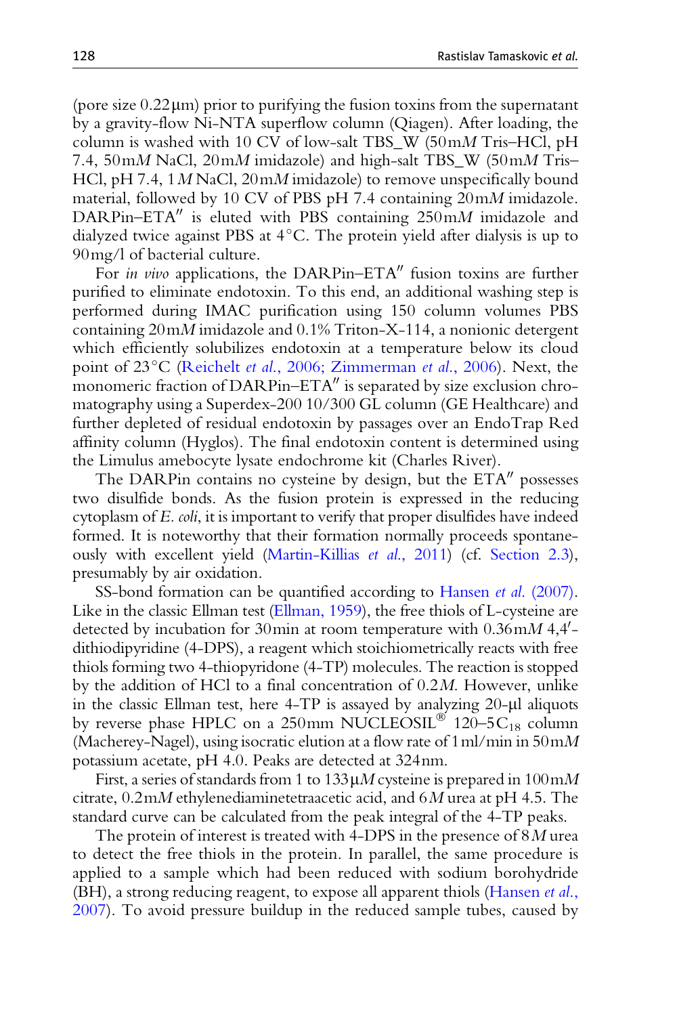(pore size  $0.22 \mu m$ ) prior to purifying the fusion toxins from the supernatant by a gravity-flow Ni-NTA superflow column (Qiagen). After loading, the column is washed with 10 CV of low-salt TBS\_W (50mM Tris–HCl, pH 7.4, 50mM NaCl, 20mM imidazole) and high-salt TBS\_W (50mM Tris– HCl, pH 7.4, 1 M NaCl, 20 mM imidazole) to remove unspecifically bound material, followed by 10 CV of PBS pH 7.4 containing 20mM imidazole. DARPin–ETA" is eluted with PBS containing  $250 \text{m}M$  imidazole and dialyzed twice against PBS at  $4^{\circ}$ C. The protein yield after dialysis is up to 90mg/l of bacterial culture.

For in vivo applications, the DARPin–ETA" fusion toxins are further purified to eliminate endotoxin. To this end, an additional washing step is performed during IMAC purification using 150 column volumes PBS containing  $20 \text{m}M$  imidazole and  $0.1\%$  Triton-X-114, a nonionic detergent which efficiently solubilizes endotoxin at a temperature below its cloud point of 23°C (Reichelt et al[., 2006; Zimmerman](#page-31-0) et al., 2006). Next, the monomeric fraction of DARPin– $ETA''$  is separated by size exclusion chromatography using a Superdex-200 10/300 GL column (GE Healthcare) and further depleted of residual endotoxin by passages over an EndoTrap Red affinity column (Hyglos). The final endotoxin content is determined using the Limulus amebocyte lysate endochrome kit (Charles River).

The DARPin contains no cysteine by design, but the  $ETA''$  possesses two disulfide bonds. As the fusion protein is expressed in the reducing cytoplasm of E. coli, it is important to verify that proper disulfides have indeed formed. It is noteworthy that their formation normally proceeds spontaneously with excellent yield ([Martin-Killias](#page-30-0) et al., 2011) (cf. [Section 2.3](#page-8-0)), presumably by air oxidation.

SS-bond formation can be quantified according to Hansen *et al.* (2007). Like in the classic Ellman test ([Ellman, 1959\)](#page-29-0), the free thiols of L-cysteine are detected by incubation for 30 min at room temperature with  $0.36$  mM 4,4 $^{\prime}$ dithiodipyridine (4-DPS), a reagent which stoichiometrically reacts with free thiols forming two 4-thiopyridone (4-TP) molecules. The reaction is stopped by the addition of HCl to a final concentration of 0.2M. However, unlike in the classic Ellman test, here  $4-TP$  is assayed by analyzing  $20-\mu l$  aliquots by reverse phase HPLC on a 250mm NUCLEOSIL<sup>®</sup> 120–5C<sub>18</sub> column (Macherey-Nagel), using isocratic elution at a flow rate of  $1 \text{ ml/min}$  in  $50 \text{ mM}$ potassium acetate, pH 4.0. Peaks are detected at 324nm.

First, a series of standards from 1 to  $133 \mu M$  cysteine is prepared in  $100 \text{m}M$ citrate, 0.2mM ethylenediaminetetraacetic acid, and 6M urea at pH 4.5. The standard curve can be calculated from the peak integral of the 4-TP peaks.

The protein of interest is treated with 4-DPS in the presence of  $8M$  urea to detect the free thiols in the protein. In parallel, the same procedure is applied to a sample which had been reduced with sodium borohydride (BH), a strong reducing reagent, to expose all apparent thiols [\(Hansen](#page-30-0) et al., [2007\)](#page-30-0). To avoid pressure buildup in the reduced sample tubes, caused by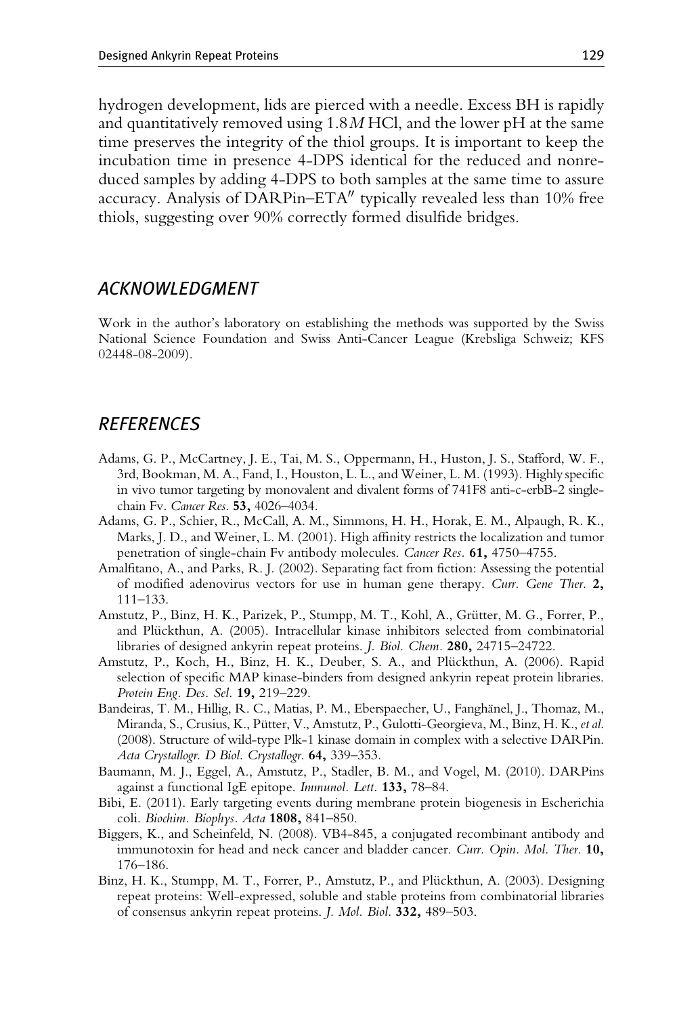<span id="page-28-0"></span>hydrogen development, lids are pierced with a needle. Excess BH is rapidly and quantitatively removed using  $1.8M$  HCl, and the lower pH at the same time preserves the integrity of the thiol groups. It is important to keep the incubation time in presence 4-DPS identical for the reduced and nonreduced samples by adding 4-DPS to both samples at the same time to assure accuracy. Analysis of DARPin– $ETA''$  typically revealed less than 10% free thiols, suggesting over 90% correctly formed disulfide bridges.

#### ACKNOWLEDGMENT

Work in the author's laboratory on establishing the methods was supported by the Swiss National Science Foundation and Swiss Anti-Cancer League (Krebsliga Schweiz; KFS 02448-08-2009).

## **REFERENCES**

- Adams, G. P., McCartney, J. E., Tai, M. S., Oppermann, H., Huston, J. S., Stafford, W. F., 3rd, Bookman, M. A., Fand, I., Houston, L. L., and Weiner, L. M. (1993). Highly specific in vivo tumor targeting by monovalent and divalent forms of 741F8 anti-c-erbB-2 singlechain Fv. Cancer Res. 53, 4026–4034.
- Adams, G. P., Schier, R., McCall, A. M., Simmons, H. H., Horak, E. M., Alpaugh, R. K., Marks, J. D., and Weiner, L. M. (2001). High affinity restricts the localization and tumor penetration of single-chain Fv antibody molecules. Cancer Res. 61, 4750–4755.
- Amalfitano, A., and Parks, R. J. (2002). Separating fact from fiction: Assessing the potential of modified adenovirus vectors for use in human gene therapy. Curr. Gene Ther. 2, 111–133.
- Amstutz, P., Binz, H. K., Parizek, P., Stumpp, M. T., Kohl, A., Grütter, M. G., Forrer, P., and Plückthun, A. (2005). Intracellular kinase inhibitors selected from combinatorial libraries of designed ankyrin repeat proteins. J. Biol. Chem. 280, 24715–24722.
- Amstutz, P., Koch, H., Binz, H. K., Deuber, S. A., and Plückthun, A. (2006). Rapid selection of specific MAP kinase-binders from designed ankyrin repeat protein libraries. Protein Eng. Des. Sel. 19, 219–229.
- Bandeiras, T. M., Hillig, R. C., Matias, P. M., Eberspaecher, U., Fanghänel, J., Thomaz, M., Miranda, S., Crusius, K., Pütter, V., Amstutz, P., Gulotti-Georgieva, M., Binz, H. K., et al. (2008). Structure of wild-type Plk-1 kinase domain in complex with a selective DARPin. Acta Crystallogr. D Biol. Crystallogr. 64, 339-353.
- Baumann, M. J., Eggel, A., Amstutz, P., Stadler, B. M., and Vogel, M. (2010). DARPins against a functional IgE epitope. Immunol. Lett. 133, 78–84.
- Bibi, E. (2011). Early targeting events during membrane protein biogenesis in Escherichia coli. Biochim. Biophys. Acta 1808, 841-850.
- Biggers, K., and Scheinfeld, N. (2008). VB4-845, a conjugated recombinant antibody and immunotoxin for head and neck cancer and bladder cancer. Curr. Opin. Mol. Ther. 10, 176–186.
- Binz, H. K., Stumpp, M. T., Forrer, P., Amstutz, P., and Plückthun, A. (2003). Designing repeat proteins: Well-expressed, soluble and stable proteins from combinatorial libraries of consensus ankyrin repeat proteins. J. Mol. Biol. 332, 489–503.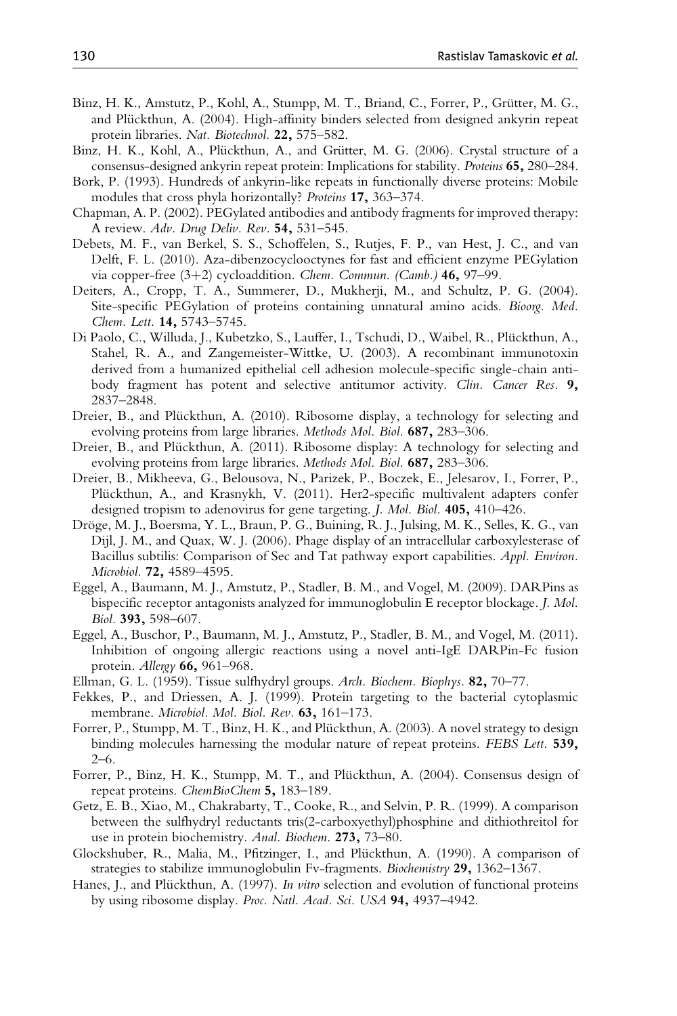- <span id="page-29-0"></span>Binz, H. K., Amstutz, P., Kohl, A., Stumpp, M. T., Briand, C., Forrer, P., Grütter, M. G., and Plückthun, A. (2004). High-affinity binders selected from designed ankyrin repeat protein libraries. Nat. Biotechnol. 22, 575–582.
- Binz, H. K., Kohl, A., Plückthun, A., and Grütter, M. G. (2006). Crystal structure of a consensus-designed ankyrin repeat protein: Implications for stability. Proteins 65, 280–284.
- Bork, P. (1993). Hundreds of ankyrin-like repeats in functionally diverse proteins: Mobile modules that cross phyla horizontally? Proteins 17, 363–374.
- Chapman, A. P. (2002). PEGylated antibodies and antibody fragments for improved therapy: A review. Adv. Drug Deliv. Rev. 54, 531–545.
- Debets, M. F., van Berkel, S. S., Schoffelen, S., Rutjes, F. P., van Hest, J. C., and van Delft, F. L. (2010). Aza-dibenzocyclooctynes for fast and efficient enzyme PEGylation via copper-free  $(3+2)$  cycloaddition. Chem. Commun. (Camb.) 46, 97-99.
- Deiters, A., Cropp, T. A., Summerer, D., Mukherji, M., and Schultz, P. G. (2004). Site-specific PEGylation of proteins containing unnatural amino acids. Bioorg. Med. Chem. Lett. 14, 5743-5745.
- Di Paolo, C., Willuda, J., Kubetzko, S., Lauffer, I., Tschudi, D., Waibel, R., Plückthun, A., Stahel, R. A., and Zangemeister-Wittke, U. (2003). A recombinant immunotoxin derived from a humanized epithelial cell adhesion molecule-specific single-chain antibody fragment has potent and selective antitumor activity. Clin. Cancer Res. 9, 2837–2848.
- Dreier, B., and Plückthun, A. (2010). Ribosome display, a technology for selecting and evolving proteins from large libraries. Methods Mol. Biol. 687, 283–306.
- Dreier, B., and Plückthun, A. (2011). Ribosome display: A technology for selecting and evolving proteins from large libraries. Methods Mol. Biol. 687, 283–306.
- Dreier, B., Mikheeva, G., Belousova, N., Parizek, P., Boczek, E., Jelesarov, I., Forrer, P., Plückthun, A., and Krasnykh, V. (2011). Her2-specific multivalent adapters confer designed tropism to adenovirus for gene targeting. J. Mol. Biol. 405, 410–426.
- Dröge, M. J., Boersma, Y. L., Braun, P. G., Buining, R. J., Julsing, M. K., Selles, K. G., van Dijl, J. M., and Quax, W. J. (2006). Phage display of an intracellular carboxylesterase of Bacillus subtilis: Comparison of Sec and Tat pathway export capabilities. Appl. Environ. Microbiol. **72,** 4589–4595.
- Eggel, A., Baumann, M. J., Amstutz, P., Stadler, B. M., and Vogel, M. (2009). DARPins as bispecific receptor antagonists analyzed for immunoglobulin E receptor blockage. J. Mol. Biol. 393, 598–607.
- Eggel, A., Buschor, P., Baumann, M. J., Amstutz, P., Stadler, B. M., and Vogel, M. (2011). Inhibition of ongoing allergic reactions using a novel anti-IgE DARPin-Fc fusion protein. Allergy 66, 961–968.
- Ellman, G. L. (1959). Tissue sulfhydryl groups. Arch. Biochem. Biophys. 82, 70–77.
- Fekkes, P., and Driessen, A. J. (1999). Protein targeting to the bacterial cytoplasmic membrane. Microbiol. Mol. Biol. Rev. 63, 161-173.
- Forrer, P., Stumpp, M. T., Binz, H. K., and Plückthun, A. (2003). A novel strategy to design binding molecules harnessing the modular nature of repeat proteins. FEBS Lett. 539, 2–6.
- Forrer, P., Binz, H. K., Stumpp, M. T., and Plückthun, A. (2004). Consensus design of repeat proteins. ChemBioChem 5, 183–189.
- Getz, E. B., Xiao, M., Chakrabarty, T., Cooke, R., and Selvin, P. R. (1999). A comparison between the sulfhydryl reductants tris(2-carboxyethyl)phosphine and dithiothreitol for use in protein biochemistry. Anal. Biochem. 273, 73–80.
- Glockshuber, R., Malia, M., Pfitzinger, I., and Plückthun, A. (1990). A comparison of strategies to stabilize immunoglobulin Fv-fragments. Biochemistry 29, 1362–1367.
- Hanes, J., and Plückthun, A. (1997). *In vitro* selection and evolution of functional proteins by using ribosome display. Proc. Natl. Acad. Sci. USA 94, 4937-4942.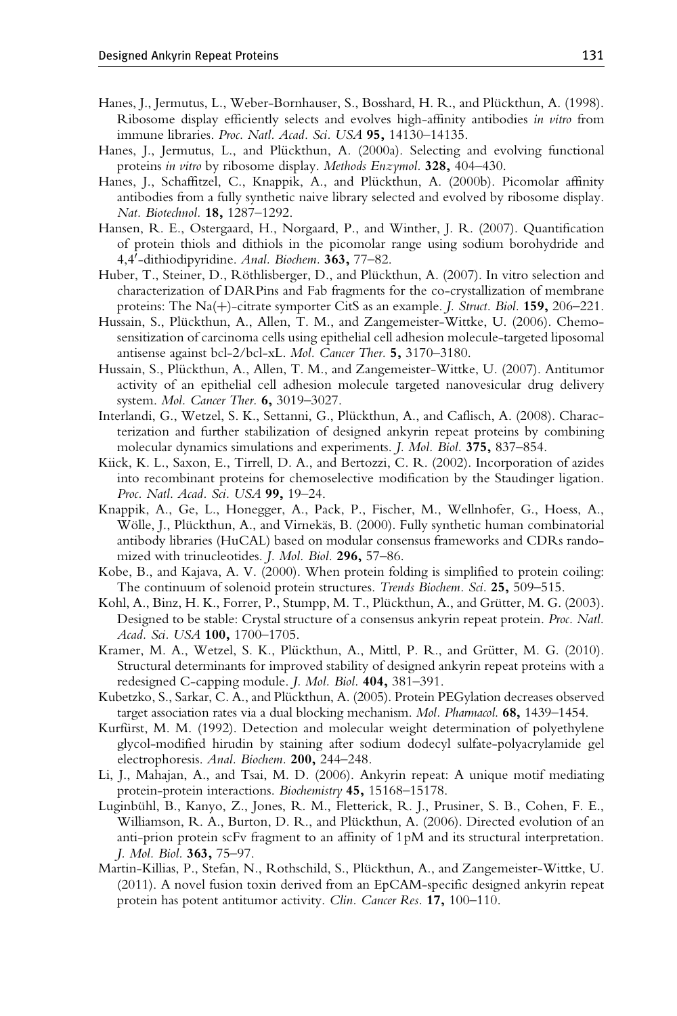- <span id="page-30-0"></span>Hanes, J., Jermutus, L., Weber-Bornhauser, S., Bosshard, H. R., and Plückthun, A. (1998). Ribosome display efficiently selects and evolves high-affinity antibodies in vitro from immune libraries. Proc. Natl. Acad. Sci. USA 95, 14130-14135.
- Hanes, J., Jermutus, L., and Plückthun, A. (2000a). Selecting and evolving functional proteins in vitro by ribosome display. Methods Enzymol. 328, 404–430.
- Hanes, J., Schaffitzel, C., Knappik, A., and Plückthun, A. (2000b). Picomolar affinity antibodies from a fully synthetic naive library selected and evolved by ribosome display. Nat. Biotechnol. 18, 1287–1292.
- Hansen, R. E., Ostergaard, H., Norgaard, P., and Winther, J. R. (2007). Quantification of protein thiols and dithiols in the picomolar range using sodium borohydride and 4,4'-dithiodipyridine. Anal. Biochem. 363, 77-82.
- Huber, T., Steiner, D., Röthlisberger, D., and Plückthun, A. (2007). In vitro selection and characterization of DARPins and Fab fragments for the co-crystallization of membrane proteins: The Na(+)-citrate symporter CitS as an example. *J. Struct. Biol.* **159,** 206–221.
- Hussain, S., Plückthun, A., Allen, T. M., and Zangemeister-Wittke, U. (2006). Chemosensitization of carcinoma cells using epithelial cell adhesion molecule-targeted liposomal antisense against bcl-2/bcl-xL. Mol. Cancer Ther. 5, 3170–3180.
- Hussain, S., Plückthun, A., Allen, T. M., and Zangemeister-Wittke, U. (2007). Antitumor activity of an epithelial cell adhesion molecule targeted nanovesicular drug delivery system. Mol. Cancer Ther. 6, 3019–3027.
- Interlandi, G., Wetzel, S. K., Settanni, G., Plückthun, A., and Caflisch, A. (2008). Characterization and further stabilization of designed ankyrin repeat proteins by combining molecular dynamics simulations and experiments. J. Mol. Biol. 375, 837–854.
- Kiick, K. L., Saxon, E., Tirrell, D. A., and Bertozzi, C. R. (2002). Incorporation of azides into recombinant proteins for chemoselective modification by the Staudinger ligation. Proc. Natl. Acad. Sci. USA 99, 19-24.
- Knappik, A., Ge, L., Honegger, A., Pack, P., Fischer, M., Wellnhofer, G., Hoess, A., Wölle, J., Plückthun, A., and Virnekäs, B. (2000). Fully synthetic human combinatorial antibody libraries (HuCAL) based on modular consensus frameworks and CDRs randomized with trinucleotides. J. Mol. Biol. 296, 57–86.
- Kobe, B., and Kajava, A. V. (2000). When protein folding is simplified to protein coiling: The continuum of solenoid protein structures. Trends Biochem. Sci. 25, 509-515.
- Kohl, A., Binz, H. K., Forrer, P., Stumpp, M. T., Plückthun, A., and Grütter, M. G. (2003). Designed to be stable: Crystal structure of a consensus ankyrin repeat protein. Proc. Natl. Acad. Sci. USA 100, 1700-1705.
- Kramer, M. A., Wetzel, S. K., Plückthun, A., Mittl, P. R., and Grütter, M. G. (2010). Structural determinants for improved stability of designed ankyrin repeat proteins with a redesigned C-capping module. J. Mol. Biol. 404, 381–391.
- Kubetzko, S., Sarkar, C. A., and Plückthun, A. (2005). Protein PEGylation decreases observed target association rates via a dual blocking mechanism. Mol. Pharmacol. 68, 1439–1454.
- Kurfürst, M. M. (1992). Detection and molecular weight determination of polyethylene glycol-modified hirudin by staining after sodium dodecyl sulfate-polyacrylamide gel electrophoresis. Anal. Biochem. 200, 244–248.
- Li, J., Mahajan, A., and Tsai, M. D. (2006). Ankyrin repeat: A unique motif mediating protein-protein interactions. Biochemistry 45, 15168-15178.
- Luginbühl, B., Kanyo, Z., Jones, R. M., Fletterick, R. J., Prusiner, S. B., Cohen, F. E., Williamson, R. A., Burton, D. R., and Plückthun, A. (2006). Directed evolution of an anti-prion protein scFv fragment to an affinity of 1pM and its structural interpretation. J. Mol. Biol. 363, 75–97.
- Martin-Killias, P., Stefan, N., Rothschild, S., Plückthun, A., and Zangemeister-Wittke, U. (2011). A novel fusion toxin derived from an EpCAM-specific designed ankyrin repeat protein has potent antitumor activity. Clin. Cancer Res. 17, 100–110.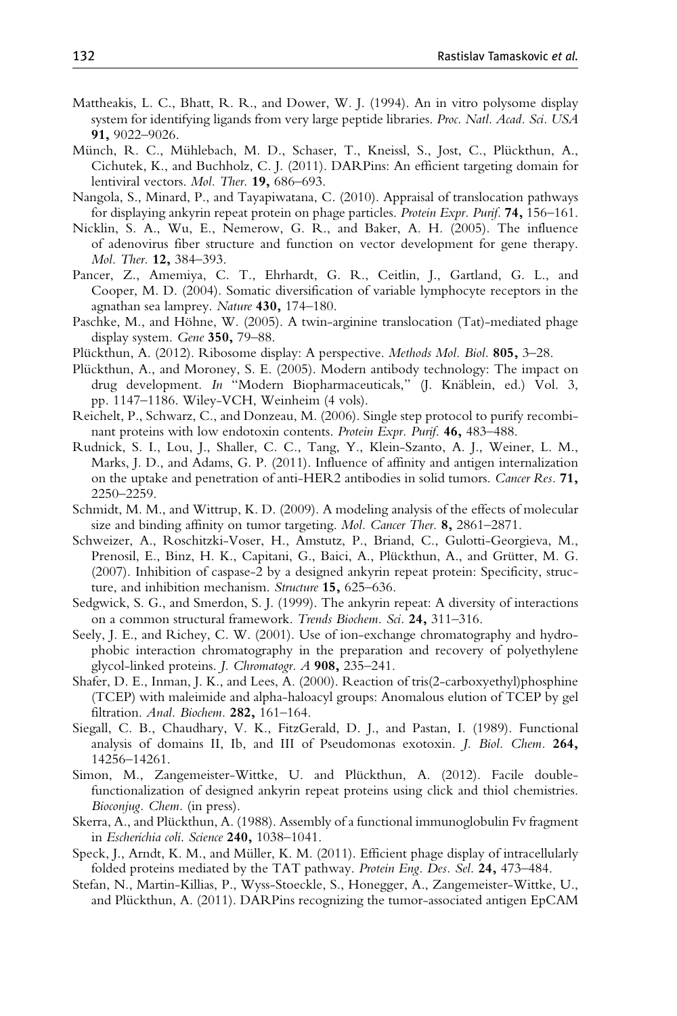- <span id="page-31-0"></span>Mattheakis, L. C., Bhatt, R. R., and Dower, W. J. (1994). An in vitro polysome display system for identifying ligands from very large peptide libraries. Proc. Natl. Acad. Sci. USA 91, 9022–9026.
- Münch, R. C., Mühlebach, M. D., Schaser, T., Kneissl, S., Jost, C., Plückthun, A., Cichutek, K., and Buchholz, C. J. (2011). DARPins: An efficient targeting domain for lentiviral vectors. Mol. Ther. **19**, 686–693.
- Nangola, S., Minard, P., and Tayapiwatana, C. (2010). Appraisal of translocation pathways for displaying ankyrin repeat protein on phage particles. Protein Expr. Purif. 74, 156–161.
- Nicklin, S. A., Wu, E., Nemerow, G. R., and Baker, A. H. (2005). The influence of adenovirus fiber structure and function on vector development for gene therapy. Mol. Ther. 12, 384–393.
- Pancer, Z., Amemiya, C. T., Ehrhardt, G. R., Ceitlin, J., Gartland, G. L., and Cooper, M. D. (2004). Somatic diversification of variable lymphocyte receptors in the agnathan sea lamprey. Nature 430, 174–180.
- Paschke, M., and Höhne, W. (2005). A twin-arginine translocation (Tat)-mediated phage display system. Gene 350, 79–88.
- Plückthun, A. (2012). Ribosome display: A perspective. Methods Mol. Biol. 805, 3-28.
- Plückthun, A., and Moroney, S. E. (2005). Modern antibody technology: The impact on drug development. In "Modern Biopharmaceuticals," (J. Knäblein, ed.) Vol. 3, pp. 1147–1186. Wiley-VCH, Weinheim (4 vols).
- Reichelt, P., Schwarz, C., and Donzeau, M. (2006). Single step protocol to purify recombinant proteins with low endotoxin contents. Protein Expr. Purif. 46, 483–488.
- Rudnick, S. I., Lou, J., Shaller, C. C., Tang, Y., Klein-Szanto, A. J., Weiner, L. M., Marks, J. D., and Adams, G. P. (2011). Influence of affinity and antigen internalization on the uptake and penetration of anti-HER2 antibodies in solid tumors. Cancer Res. 71, 2250–2259.
- Schmidt, M. M., and Wittrup, K. D. (2009). A modeling analysis of the effects of molecular size and binding affinity on tumor targeting. Mol. Cancer Ther. 8, 2861–2871.
- Schweizer, A., Roschitzki-Voser, H., Amstutz, P., Briand, C., Gulotti-Georgieva, M., Prenosil, E., Binz, H. K., Capitani, G., Baici, A., Plückthun, A., and Grütter, M. G. (2007). Inhibition of caspase-2 by a designed ankyrin repeat protein: Specificity, structure, and inhibition mechanism. Structure 15, 625-636.
- Sedgwick, S. G., and Smerdon, S. J. (1999). The ankyrin repeat: A diversity of interactions on a common structural framework. Trends Biochem. Sci. 24, 311–316.
- Seely, J. E., and Richey, C. W. (2001). Use of ion-exchange chromatography and hydrophobic interaction chromatography in the preparation and recovery of polyethylene glycol-linked proteins. J. Chromatogr. A 908, 235–241.
- Shafer, D. E., Inman, J. K., and Lees, A. (2000). Reaction of tris(2-carboxyethyl)phosphine (TCEP) with maleimide and alpha-haloacyl groups: Anomalous elution of TCEP by gel filtration. Anal. Biochem. 282, 161–164.
- Siegall, C. B., Chaudhary, V. K., FitzGerald, D. J., and Pastan, I. (1989). Functional analysis of domains II, Ib, and III of Pseudomonas exotoxin. J. Biol. Chem. 264, 14256–14261.
- Simon, M., Zangemeister-Wittke, U. and Plückthun, A. (2012). Facile doublefunctionalization of designed ankyrin repeat proteins using click and thiol chemistries. Bioconjug. Chem. (in press).
- Skerra, A., and Plückthun, A. (1988). Assembly of a functional immunoglobulin Fv fragment in Escherichia coli. Science 240, 1038–1041.
- Speck, J., Arndt, K. M., and Müller, K. M. (2011). Efficient phage display of intracellularly folded proteins mediated by the TAT pathway. Protein Eng. Des. Sel. 24, 473–484.
- Stefan, N., Martin-Killias, P., Wyss-Stoeckle, S., Honegger, A., Zangemeister-Wittke, U., and Plückthun, A. (2011). DARPins recognizing the tumor-associated antigen EpCAM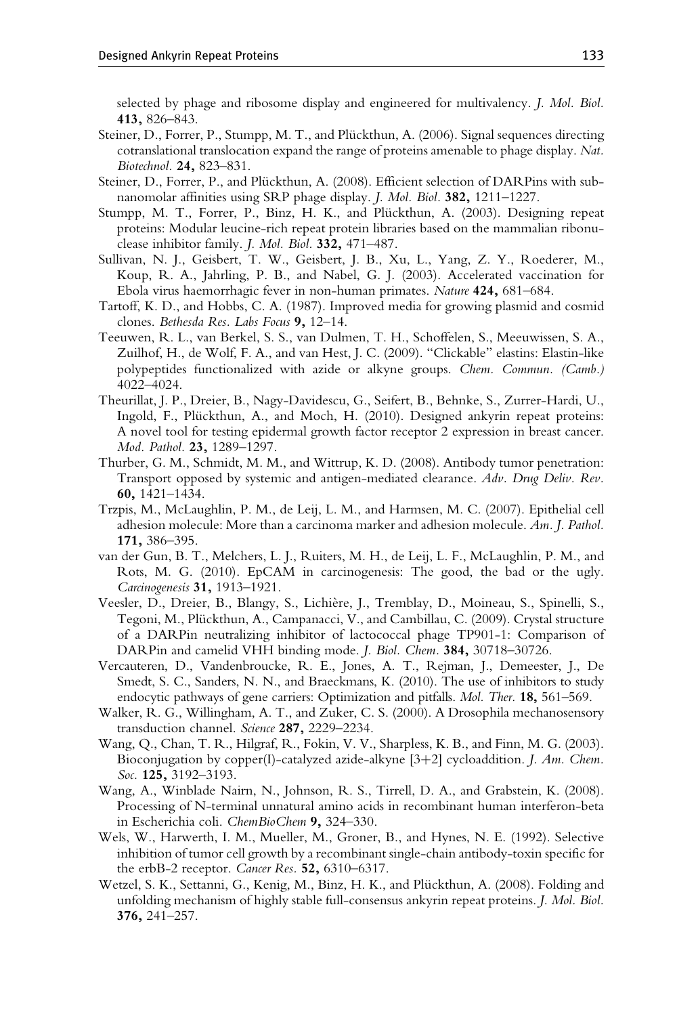<span id="page-32-0"></span>selected by phage and ribosome display and engineered for multivalency. J. Mol. Biol. 413, 826–843.

- Steiner, D., Forrer, P., Stumpp, M. T., and Plückthun, A. (2006). Signal sequences directing cotranslational translocation expand the range of proteins amenable to phage display. Nat. Biotechnol. 24, 823–831.
- Steiner, D., Forrer, P., and Plückthun, A. (2008). Efficient selection of DARPins with subnanomolar affinities using SRP phage display. J. Mol. Biol. 382, 1211–1227.
- Stumpp, M. T., Forrer, P., Binz, H. K., and Plückthun, A. (2003). Designing repeat proteins: Modular leucine-rich repeat protein libraries based on the mammalian ribonuclease inhibitor family. J. Mol. Biol. 332, 471–487.
- Sullivan, N. J., Geisbert, T. W., Geisbert, J. B., Xu, L., Yang, Z. Y., Roederer, M., Koup, R. A., Jahrling, P. B., and Nabel, G. J. (2003). Accelerated vaccination for Ebola virus haemorrhagic fever in non-human primates. Nature 424, 681–684.
- Tartoff, K. D., and Hobbs, C. A. (1987). Improved media for growing plasmid and cosmid clones. Bethesda Res. Labs Focus 9, 12–14.
- Teeuwen, R. L., van Berkel, S. S., van Dulmen, T. H., Schoffelen, S., Meeuwissen, S. A., Zuilhof, H., de Wolf, F. A., and van Hest, J. C. (2009). "Clickable" elastins: Elastin-like polypeptides functionalized with azide or alkyne groups. Chem. Commun. (Camb.) 4022–4024.
- Theurillat, J. P., Dreier, B., Nagy-Davidescu, G., Seifert, B., Behnke, S., Zurrer-Hardi, U., Ingold, F., Plückthun, A., and Moch, H. (2010). Designed ankyrin repeat proteins: A novel tool for testing epidermal growth factor receptor 2 expression in breast cancer. Mod. Pathol. 23, 1289-1297.
- Thurber, G. M., Schmidt, M. M., and Wittrup, K. D. (2008). Antibody tumor penetration: Transport opposed by systemic and antigen-mediated clearance. Adv. Drug Deliv. Rev. 60, 1421–1434.
- Trzpis, M., McLaughlin, P. M., de Leij, L. M., and Harmsen, M. C. (2007). Epithelial cell adhesion molecule: More than a carcinoma marker and adhesion molecule. Am. J. Pathol. 171, 386–395.
- van der Gun, B. T., Melchers, L. J., Ruiters, M. H., de Leij, L. F., McLaughlin, P. M., and Rots, M. G. (2010). EpCAM in carcinogenesis: The good, the bad or the ugly. Carcinogenesis 31, 1913–1921.
- Veesler, D., Dreier, B., Blangy, S., Lichière, J., Tremblay, D., Moineau, S., Spinelli, S., Tegoni, M., Plückthun, A., Campanacci, V., and Cambillau, C. (2009). Crystal structure of a DARPin neutralizing inhibitor of lactococcal phage TP901-1: Comparison of DARPin and camelid VHH binding mode. J. Biol. Chem. 384, 30718–30726.
- Vercauteren, D., Vandenbroucke, R. E., Jones, A. T., Rejman, J., Demeester, J., De Smedt, S. C., Sanders, N. N., and Braeckmans, K. (2010). The use of inhibitors to study endocytic pathways of gene carriers: Optimization and pitfalls. Mol. Ther. 18, 561-569.
- Walker, R. G., Willingham, A. T., and Zuker, C. S. (2000). A Drosophila mechanosensory transduction channel. Science 287, 2229–2234.
- Wang, Q., Chan, T. R., Hilgraf, R., Fokin, V. V., Sharpless, K. B., and Finn, M. G. (2003). Bioconjugation by copper(I)-catalyzed azide-alkyne  $[3+2]$  cycloaddition. *J. Am. Chem.* Soc. 125, 3192-3193.
- Wang, A., Winblade Nairn, N., Johnson, R. S., Tirrell, D. A., and Grabstein, K. (2008). Processing of N-terminal unnatural amino acids in recombinant human interferon-beta in Escherichia coli. ChemBioChem 9, 324–330.
- Wels, W., Harwerth, I. M., Mueller, M., Groner, B., and Hynes, N. E. (1992). Selective inhibition of tumor cell growth by a recombinant single-chain antibody-toxin specific for the erbB-2 receptor. Cancer Res. 52, 6310–6317.
- Wetzel, S. K., Settanni, G., Kenig, M., Binz, H. K., and Plückthun, A. (2008). Folding and unfolding mechanism of highly stable full-consensus ankyrin repeat proteins. J. Mol. Biol. 376, 241–257.